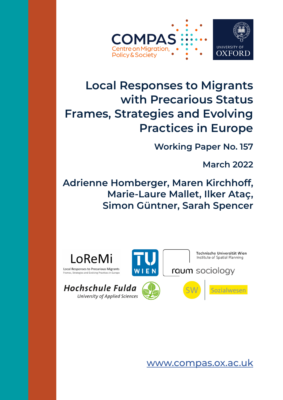

# **Local Responses to Migrants with Precarious Status Frames, Strategies and Evolving Practices in Europe**

**Working Paper No. 157**

**March 2022**

**Adrienne Homberger, Maren Kirchhoff, Marie-Laure Mallet, Ilker Ataç, Simon Güntner, Sarah Spencer**



University of Applied Sciences

[www.compas.ox.ac.uk](http://www.compas.ox.ac.uk)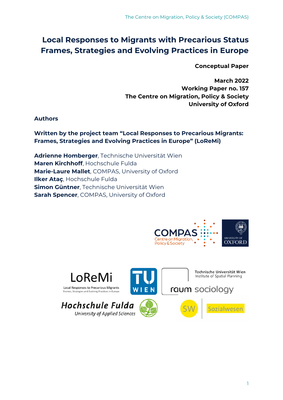## **Local Responses to Migrants with Precarious Status Frames, Strategies and Evolving Practices in Europe**

**Conceptual Paper**

**March 2022 Working Paper no. 157 The Centre on Migration, Policy & Society University of Oxford**

**Authors**

**Written by the project team "Local Responses to Precarious Migrants: Frames, Strategies and Evolving Practices in Europe" (LoReMi)**

**Adrienne Homberger**, Technische Universität Wien **Maren Kirchhoff**, Hochschule Fulda **Marie-Laure Mallet**, COMPAS, University of Oxford **Ilker Ataç**, Hochschule Fulda **Simon Güntner**, Technische Universität Wien **Sarah Spencer**, COMPAS, University of Oxford



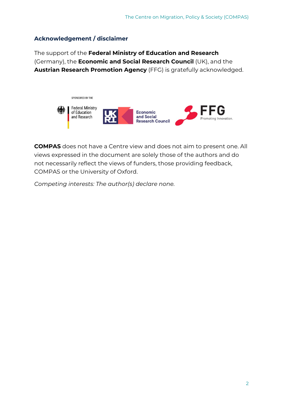## **Acknowledgement / disclaimer**

The support of the **Federal Ministry of Education and Research** (Germany), the **Economic and Social Research Council** (UK), and the **Austrian Research Promotion Agency** (FFG) is gratefully acknowledged.



**COMPAS** does not have a Centre view and does not aim to present one. All views expressed in the document are solely those of the authors and do not necessarily reflect the views of funders, those providing feedback, COMPAS or the University of Oxford.

*Competing interests: The author(s) declare none.*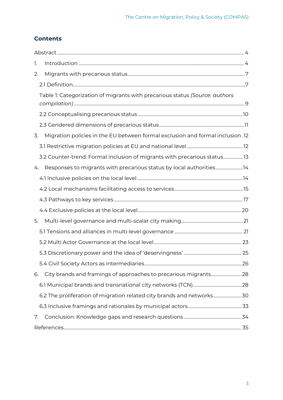## **Contents**

| 1. |                                                                               |  |  |  |  |  |
|----|-------------------------------------------------------------------------------|--|--|--|--|--|
| 2. |                                                                               |  |  |  |  |  |
|    |                                                                               |  |  |  |  |  |
|    | Table 1: Categorization of migrants with precarious status (Source: authors   |  |  |  |  |  |
|    |                                                                               |  |  |  |  |  |
|    |                                                                               |  |  |  |  |  |
| 3. | Migration policies in the EU between formal exclusion and formal inclusion.12 |  |  |  |  |  |
|    |                                                                               |  |  |  |  |  |
|    | 3.2 Counter-trend: Formal inclusion of migrants with precarious status        |  |  |  |  |  |
| 4. | Responses to migrants with precarious status by local authorities14           |  |  |  |  |  |
|    |                                                                               |  |  |  |  |  |
|    |                                                                               |  |  |  |  |  |
|    |                                                                               |  |  |  |  |  |
|    |                                                                               |  |  |  |  |  |
| 5. |                                                                               |  |  |  |  |  |
|    |                                                                               |  |  |  |  |  |
|    |                                                                               |  |  |  |  |  |
|    |                                                                               |  |  |  |  |  |
|    |                                                                               |  |  |  |  |  |
| 6. |                                                                               |  |  |  |  |  |
|    |                                                                               |  |  |  |  |  |
|    | 6.2 The proliferation of migration related city brands and networks30         |  |  |  |  |  |
|    |                                                                               |  |  |  |  |  |
| 7. |                                                                               |  |  |  |  |  |
|    |                                                                               |  |  |  |  |  |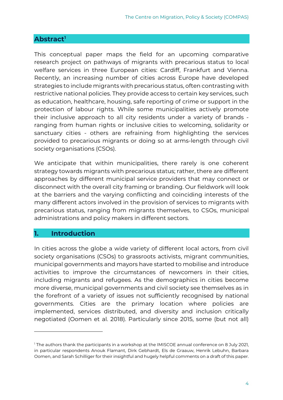## <span id="page-4-0"></span>**Abstract1**

This conceptual paper maps the field for an upcoming comparative research project on pathways of migrants with precarious status to local welfare services in three European cities: Cardiff, Frankfurt and Vienna. Recently, an increasing number of cities across Europe have developed strategies to include migrants with precarious status, often contrasting with restrictive national policies. They provide access to certain key services, such as education, healthcare, housing, safe reporting of crime or support in the protection of labour rights. While some municipalities actively promote their inclusive approach to all city residents under a variety of brands ranging from human rights or inclusive cities to welcoming, solidarity or sanctuary cities - others are refraining from highlighting the services provided to precarious migrants or doing so at arms-length through civil society organisations (CSOs).

We anticipate that within municipalities, there rarely is one coherent strategy towards migrants with precarious status; rather, there are different approaches by different municipal service providers that may connect or disconnect with the overall city framing or branding. Our fieldwork will look at the barriers and the varying conflicting and coinciding interests of the many different actors involved in the provision of services to migrants with precarious status, ranging from migrants themselves, to CSOs, municipal administrations and policy makers in different sectors.

## <span id="page-4-1"></span>**1. Introduction**

-

In cities across the globe a wide variety of different local actors, from civil society organisations (CSOs) to grassroots activists, migrant communities, municipal governments and mayors have started to mobilise and introduce activities to improve the circumstances of newcomers in their cities, including migrants and refugees. As the demographics in cities become more diverse, municipal governments and civil society see themselves as in the forefront of a variety of issues not sufficiently recognised by national governments. Cities are the primary location where policies are implemented, services distributed, and diversity and inclusion critically negotiated (Oomen et al. 2018). Particularly since 2015, some (but not all)

<sup>&</sup>lt;sup>1</sup> The authors thank the participants in a workshop at the IMISCOE annual conference on 8 July 2021, in particular respondents Anouk Flamant, Dirk Gebhardt, Els de Graauw, Henrik Lebuhn, Barbara Oomen, and Sarah Schilliger for their insightful and hugely helpful comments on a draft of this paper.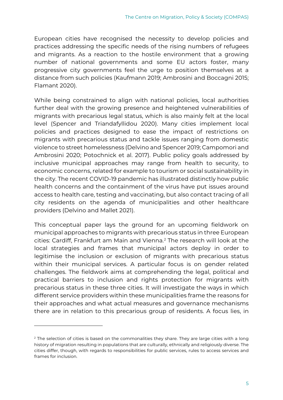European cities have recognised the necessity to develop policies and practices addressing the specific needs of the rising numbers of refugees and migrants. As a reaction to the hostile environment that a growing number of national governments and some EU actors foster, many progressive city governments feel the urge to position themselves at a distance from such policies (Kaufmann 2019; Ambrosini and Boccagni 2015; Flamant 2020).

While being constrained to align with national policies, local authorities further deal with the growing presence and heightened vulnerabilities of migrants with precarious legal status, which is also mainly felt at the local level (Spencer and Triandafyllidou 2020). Many cities implement local policies and practices designed to ease the impact of restrictions on migrants with precarious status and tackle issues ranging from domestic violence to street homelessness (Delvino and Spencer 2019; Campomori and Ambrosini 2020; Potochnick et al. 2017). Public policy goals addressed by inclusive municipal approaches may range from health to security, to economic concerns, related for example to tourism or social sustainability in the city. The recent COVID-19 pandemic has illustrated distinctly how public health concerns and the containment of the virus have put issues around access to health care, testing and vaccinating, but also contact tracing of all city residents on the agenda of municipalities and other healthcare providers (Delvino and Mallet 2021).

This conceptual paper lays the ground for an upcoming fieldwork on municipal approaches to migrants with precarious status in three European cities: Cardiff, Frankfurt am Main and Vienna.2 The research will look at the local strategies and frames that municipal actors deploy in order to legitimise the inclusion or exclusion of migrants with precarious status within their municipal services. A particular focus is on gender related challenges. The fieldwork aims at comprehending the legal, political and practical barriers to inclusion and rights protection for migrants with precarious status in these three cities. It will investigate the ways in which different service providers within these municipalities frame the reasons for their approaches and what actual measures and governance mechanisms there are in relation to this precarious group of residents. A focus lies, in

-

 $2$  The selection of cities is based on the commonalities they share. They are large cities with a long history of migration resulting in populations that are culturally, ethnically and religiously diverse. The cities differ, though, with regards to responsibilities for public services, rules to access services and frames for inclusion.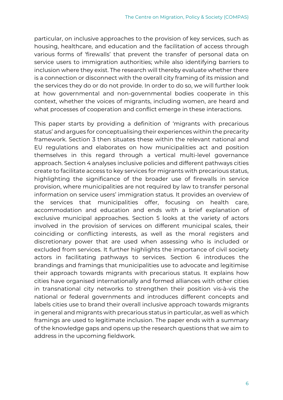particular, on inclusive approaches to the provision of key services, such as housing, healthcare, and education and the facilitation of access through various forms of 'firewalls' that prevent the transfer of personal data on service users to immigration authorities; while also identifying barriers to inclusion where they exist. The research will thereby evaluate whether there is a connection or disconnect with the overall city framing of its mission and the services they do or do not provide. In order to do so, we will further look at how governmental and non-governmental bodies cooperate in this context, whether the voices of migrants, including women, are heard and what processes of cooperation and conflict emerge in these interactions.

This paper starts by providing a definition of 'migrants with precarious status' and argues for conceptualising their experiences within the precarity framework. Section 3 then situates these within the relevant national and EU regulations and elaborates on how municipalities act and position themselves in this regard through a vertical multi-level governance approach. Section 4 analyses inclusive policies and different pathways cities create to facilitate access to key services for migrants with precarious status, highlighting the significance of the broader use of firewalls in service provision, where municipalities are not required by law to transfer personal information on service users' immigration status. It provides an overview of the services that municipalities offer, focusing on health care, accommodation and education and ends with a brief explanation of exclusive municipal approaches. Section 5 looks at the variety of actors involved in the provision of services on different municipal scales, their coinciding or conflicting interests, as well as the moral registers and discretionary power that are used when assessing who is included or excluded from services. It further highlights the importance of civil society actors in facilitating pathways to services. Section 6 introduces the brandings and framings that municipalities use to advocate and legitimise their approach towards migrants with precarious status. It explains how cities have organised internationally and formed alliances with other cities in transnational city networks to strengthen their position vis-à-vis the national or federal governments and introduces different concepts and labels cities use to brand their overall inclusive approach towards migrants in general and migrants with precarious status in particular, as well as which framings are used to legitimate inclusion. The paper ends with a summary of the knowledge gaps and opens up the research questions that we aim to address in the upcoming fieldwork.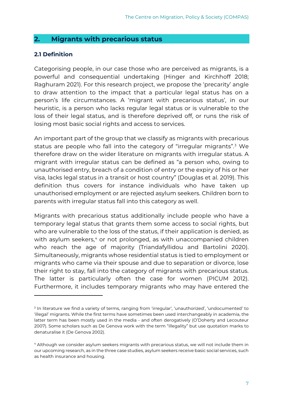## <span id="page-7-0"></span>**2. Migrants with precarious status**

## <span id="page-7-1"></span>**2.1 Definition**

-

Categorising people, in our case those who are perceived as migrants, is a powerful and consequential undertaking (Hinger and Kirchhoff 2018; Raghuram 2021). For this research project, we propose the 'precarity' angle to draw attention to the impact that a particular legal status has on a person's life circumstances. A 'migrant with precarious status', in our heuristic, is a person who lacks regular legal status or is vulnerable to the loss of their legal status, and is therefore deprived off, or runs the risk of losing most basic social rights and access to services.

An important part of the group that we classify as migrants with precarious status are people who fall into the category of "irregular migrants".3 We therefore draw on the wider literature on migrants with irregular status. A migrant with irregular status can be defined as "a person who, owing to unauthorised entry, breach of a condition of entry or the expiry of his or her visa, lacks legal status in a transit or host country" (Douglas et al. 2019). This definition thus covers for instance individuals who have taken up unauthorised employment or are rejected asylum seekers. Children born to parents with irregular status fall into this category as well.

Migrants with precarious status additionally include people who have a temporary legal status that grants them some access to social rights, but who are vulnerable to the loss of the status, if their application is denied, as with asylum seekers,<sup>4</sup> or not prolonged, as with unaccompanied children who reach the age of majority (Triandafyllidou and Bartolini 2020). Simultaneously, migrants whose residential status is tied to employment or migrants who came via their spouse and due to separation or divorce, lose their right to stay, fall into the category of migrants with precarious status. The latter is particularly often the case for women (PICUM 2012). Furthermore, it includes temporary migrants who may have entered the

<sup>&</sup>lt;sup>3</sup> In literature we find a variety of terms, ranging from 'irregular', 'unauthorized', 'undocumented' to 'illegal' migrants. While the first terms have sometimes been used interchangeably in academia, the latter term has been mostly used in the media - and often derogatively (O'Doherty and Lecouteur 2007). Some scholars such as De Genova work with the term "illegality" but use quotation marks to denaturalise it (De Genova 2002).

<sup>4</sup> Although we consider asylum seekers migrants with precarious status, we will not include them in our upcoming research, as in the three case studies, asylum seekers receive basic social services, such as health insurance and housing.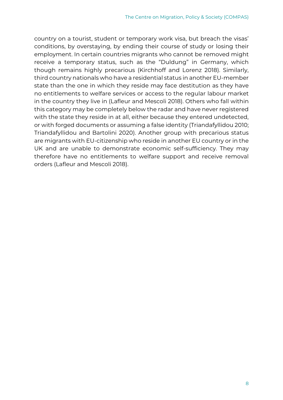country on a tourist, student or temporary work visa, but breach the visas' conditions, by overstaying, by ending their course of study or losing their employment. In certain countries migrants who cannot be removed might receive a temporary status, such as the "Duldung" in Germany, which though remains highly precarious (Kirchhoff and Lorenz 2018). Similarly, third country nationals who have a residential status in another EU-member state than the one in which they reside may face destitution as they have no entitlements to welfare services or access to the regular labour market in the country they live in (Lafleur and Mescoli 2018). Others who fall within this category may be completely below the radar and have never registered with the state they reside in at all, either because they entered undetected, or with forged documents or assuming a false identity (Triandafyllidou 2010; Triandafyllidou and Bartolini 2020). Another group with precarious status are migrants with EU-citizenship who reside in another EU country or in the UK and are unable to demonstrate economic self-sufficiency. They may therefore have no entitlements to welfare support and receive removal orders (Lafleur and Mescoli 2018).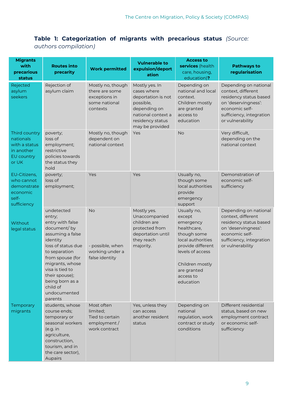## <span id="page-9-0"></span>**Table 1: Categorization of migrants with precarious status** *(Source: authors compilation)*

| <b>Migrants</b><br>with<br>precarious<br>status                                  | <b>Routes into</b><br>precarity                                                                                                                                                                                                                                      | <b>Work permitted</b>                                                             | <b>Vulnerable to</b><br>expulsion/deport<br>ation                                                                                             | <b>Access to</b><br>services (health<br>care, housing,<br>education)?                                                                                                                      | <b>Pathways to</b><br>regularisation                                                                                                                           |
|----------------------------------------------------------------------------------|----------------------------------------------------------------------------------------------------------------------------------------------------------------------------------------------------------------------------------------------------------------------|-----------------------------------------------------------------------------------|-----------------------------------------------------------------------------------------------------------------------------------------------|--------------------------------------------------------------------------------------------------------------------------------------------------------------------------------------------|----------------------------------------------------------------------------------------------------------------------------------------------------------------|
| Rejected<br>asylum<br>seekers                                                    | Rejection of<br>asylum claim                                                                                                                                                                                                                                         | Mostly no, though<br>there are some<br>exceptions in<br>some national<br>contexts | Mostly yes. In<br>cases where<br>deportation is not<br>possible,<br>depending on<br>national context a<br>residency status<br>may be provided | Depending on<br>national and local<br>context.<br>Children mostly<br>are granted<br>access to<br>education                                                                                 | Depending on national<br>context, different<br>residency status based<br>on 'deservingness':<br>economic self-<br>sufficiency, integration<br>or vulnerability |
| Third country<br>nationals<br>with a status<br>in another<br>EU country<br>or UK | poverty;<br>loss of<br>employment;<br>restrictive<br>policies towards<br>the status they<br>hold                                                                                                                                                                     | Mostly no, though<br>dependent on<br>national context                             | Yes                                                                                                                                           | <b>No</b>                                                                                                                                                                                  | Very difficult,<br>depending on the<br>national context                                                                                                        |
| EU-Citizens,<br>who cannot<br>demonstrate<br>economic<br>self-<br>sufficiency    | poverty;<br>loss of<br>employment;                                                                                                                                                                                                                                   | Yes                                                                               | Yes                                                                                                                                           | Usually no,<br>though some<br>local authorities<br>provide<br>emergency<br>support                                                                                                         | Demonstration of<br>economic self-<br>sufficiency                                                                                                              |
| Without<br>legal status                                                          | undetected<br>entry;<br>entry with false<br>document/by<br>assuming a false<br>identity<br>loss of status due<br>to separation<br>from spouse (for<br>migrants, whose<br>visa is tied to<br>their spouse);<br>being born as a<br>child of<br>undocumented<br>parents | <b>No</b><br>- possible, when<br>working under a<br>false identity                | Mostly yes.<br>Unaccompanied<br>children are<br>protected from<br>deportation until<br>they reach<br>majority.                                | Usually no,<br>except<br>emergency<br>healthcare,<br>though some<br>local authorities<br>provide different<br>levels of access<br>Children mostly<br>are granted<br>access to<br>education | Depending on national<br>context, different<br>residency status based<br>on 'deservingness':<br>economic self-<br>sufficiency, integration<br>or vulnerability |
| Temporary<br>migrants                                                            | students, whose<br>course ends;<br>temporary or<br>seasonal workers<br>(e.g. in<br>agriculture,<br>construction,<br>tourism, and in<br>the care sector),<br>Aupairs                                                                                                  | Most often<br>limited;<br>Tied to certain<br>employment /<br>work contract        | Yes, unless they<br>can access<br>another resident<br>status                                                                                  | Depending on<br>national<br>regulation, work<br>contract or study<br>conditions                                                                                                            | Different residential<br>status, based on new<br>employment contract<br>or economic self-<br>sufficiency                                                       |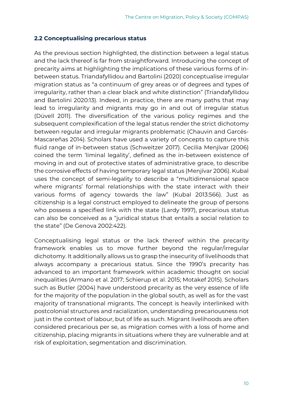## <span id="page-10-0"></span>**2.2 Conceptualising precarious status**

As the previous section highlighted, the distinction between a legal status and the lack thereof is far from straightforward. Introducing the concept of precarity aims at highlighting the implications of these various forms of inbetween status. Triandafyllidou and Bartolini (2020) conceptualise irregular migration status as "a continuum of grey areas or of degrees and types of irregularity, rather than a clear black and white distinction" (Triandafyllidou and Bartolini 2020:13). Indeed, in practice, there are many paths that may lead to irregularity and migrants may go in and out of irregular status (Düvell 2011). The diversification of the various policy regimes and the subsequent complexification of the legal status render the strict dichotomy between regular and irregular migrants problematic (Chauvin and Garcés-Mascareñas 2014). Scholars have used a variety of concepts to capture this fluid range of in-between status (Schweitzer 2017). Cecilia Menjívar (2006) coined the term 'liminal legality', defined as the in-between existence of moving in and out of protective states of administrative grace, to describe the corrosive effects of having temporary legal status (Menjívar 2006). Kubal uses the concept of semi-legality to describe a "multidimensional space where migrants' formal relationships with the state interact with their various forms of agency towards the law" (Kubal 2013:566). Just as citizenship is a legal construct employed to delineate the group of persons who possess a specified link with the state (Lardy 1997), precarious status can also be conceived as a "juridical status that entails a social relation to the state" (De Genova 2002:422).

Conceptualising legal status or the lack thereof within the precarity framework enables us to move further beyond the regular/irregular dichotomy. It additionally allows us to grasp the insecurity of livelihoods that always accompany a precarious status. Since the 1990's precarity has advanced to an important framework within academic thought on social inequalities (Armano et al. 2017; Schierup et al. 2015; Motakef 2015). Scholars such as Butler (2004) have understood precarity as the very essence of life for the majority of the population in the global south, as well as for the vast majority of transnational migrants. The concept is heavily interlinked with postcolonial structures and racialization, understanding precariousness not just in the context of labour, but of life as such. Migrant livelihoods are often considered precarious per se, as migration comes with a loss of home and citizenship, placing migrants in situations where they are vulnerable and at risk of exploitation, segmentation and discrimination.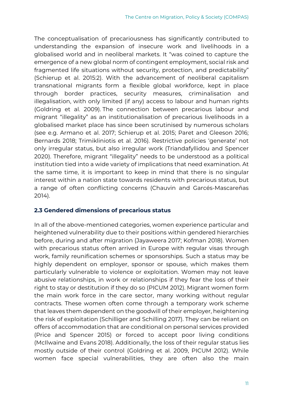The conceptualisation of precariousness has significantly contributed to understanding the expansion of insecure work and livelihoods in a globalised world and in neoliberal markets. It "was coined to capture the emergence of a new global norm of contingent employment, social risk and fragmented life situations without security, protection, and predictability" (Schierup et al. 2015:2). With the advancement of neoliberal capitalism transnational migrants form a flexible global workforce, kept in place through border practices, security measures, criminalisation and illegalisation, with only limited (if any) access to labour and human rights (Goldring et al. 2009). The connection between precarious labour and migrant "illegality" as an institutionalisation of precarious livelihoods in a globalised market place has since been scrutinised by numerous scholars (see e.g. Armano et al. 2017; Schierup et al. 2015; Paret and Gleeson 2016; Bernards 2018; Trimikliniotis et al. 2016). Restrictive policies 'generate' not only irregular status, but also irregular work (Triandafyllidou and Spencer 2020). Therefore, migrant "illegality" needs to be understood as a political institution tied into a wide variety of implications that need examination. At the same time, it is important to keep in mind that there is no singular interest within a nation state towards residents with precarious status, but a range of often conflicting concerns (Chauvin and Garcés-Mascareñas 2014).

## <span id="page-11-0"></span>**2.3 Gendered dimensions of precarious status**

In all of the above-mentioned categories, women experience particular and heightened vulnerability due to their positions within gendered hierarchies before, during and after migration (Jayaweera 2017; Kofman 2018). Women with precarious status often arrived in Europe with regular visas through work, family reunification schemes or sponsorships. Such a status may be highly dependent on employer, sponsor or spouse, which makes them particularly vulnerable to violence or exploitation. Women may not leave abusive relationships, in work or relationships if they fear the loss of their right to stay or destitution if they do so (PICUM 2012). Migrant women form the main work force in the care sector, many working without regular contracts. These women often come through a temporary work scheme that leaves them dependent on the goodwill of their employer, heightening the risk of exploitation (Schilliger and Schilling 2017). They can be reliant on offers of accommodation that are conditional on personal services provided (Price and Spencer 2015) or forced to accept poor living conditions (McIlwaine and Evans 2018). Additionally, the loss of their regular status lies mostly outside of their control (Goldring et al. 2009, PICUM 2012). While women face special vulnerabilities, they are often also the main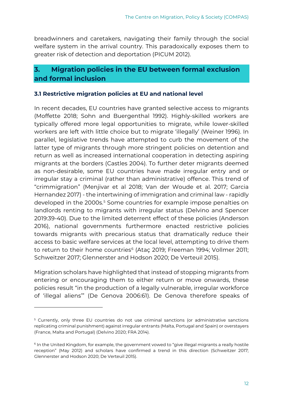breadwinners and caretakers, navigating their family through the social welfare system in the arrival country. This paradoxically exposes them to greater risk of detection and deportation (PICUM 2012).

## <span id="page-12-0"></span>**3. Migration policies in the EU between formal exclusion and formal inclusion**

## <span id="page-12-1"></span>**3.1 Restrictive migration policies at EU and national level**

In recent decades, EU countries have granted selective access to migrants (Moffette 2018; Sohn and Buergenthal 1992). Highly-skilled workers are typically offered more legal opportunities to migrate, while lower-skilled workers are left with little choice but to migrate 'illegally' (Weiner 1996). In parallel, legislative trends have attempted to curb the movement of the latter type of migrants through more stringent policies on detention and return as well as increased international cooperation in detecting aspiring migrants at the borders (Castles 2004). To further deter migrants deemed as non-desirable, some EU countries have made irregular entry and or irregular stay a criminal (rather than administrative) offence. This trend of "crimmigration" (Menjivar et al 2018; Van der Woude et al. 2017; Garcia Hernandez 2017) - the intertwining of immigration and criminal law - rapidly developed in the 2000s.<sup>5</sup> Some countries for example impose penalties on landlords renting to migrants with irregular status (Delvino and Spencer 2019:39-40). Due to the limited deterrent effect of these policies (Anderson 2016), national governments furthermore enacted restrictive policies towards migrants with precarious status that dramatically reduce their access to basic welfare services at the local level, attempting to drive them to return to their home countries<sup>6</sup> (Ataç 2019; Freeman 1994; Vollmer 2011; Schweitzer 2017; Glennerster and Hodson 2020; De Verteuil 2015).

Migration scholars have highlighted that instead of stopping migrants from entering or encouraging them to either return or move onwards, these policies result "in the production of a legally vulnerable, irregular workforce of 'illegal aliens'" (De Genova 2006:61). De Genova therefore speaks of

-

<sup>&</sup>lt;sup>5</sup> Currently, only three EU countries do not use criminal sanctions (or administrative sanctions replicating criminal punishment) against irregular entrants (Malta, Portugal and Spain) or overstayers (France, Malta and Portugal) (Delvino 2020; FRA 2014).

<sup>6</sup> In the United Kingdom, for example, the government vowed to "give illegal migrants a really hostile reception" (May 2012) and scholars have confirmed a trend in this direction (Schweitzer 2017; Glennerster and Hodson 2020; De Verteuil 2015).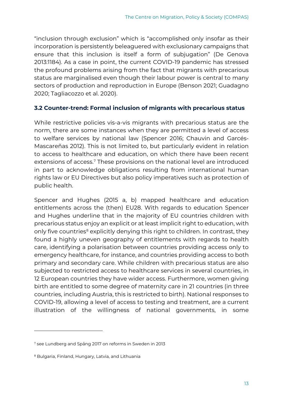"inclusion through exclusion" which is "accomplished only insofar as their incorporation is persistently beleaguered with exclusionary campaigns that ensure that this inclusion is itself a form of subjugation" (De Genova 2013:1184). As a case in point, the current COVID-19 pandemic has stressed the profound problems arising from the fact that migrants with precarious status are marginalised even though their labour power is central to many sectors of production and reproduction in Europe (Benson 2021; Guadagno 2020; Tagliacozzo et al. 2020).

#### <span id="page-13-0"></span>**3.2 Counter-trend: Formal inclusion of migrants with precarious status**

While restrictive policies vis-a-vis migrants with precarious status are the norm, there are some instances when they are permitted a level of access to welfare services by national law (Spencer 2016; Chauvin and Garcés-Mascareñas 2012). This is not limited to, but particularly evident in relation to access to healthcare and education, on which there have been recent extensions of access.<sup>7</sup> These provisions on the national level are introduced in part to acknowledge obligations resulting from international human rights law or EU Directives but also policy imperatives such as protection of public health.

Spencer and Hughes (2015 a, b) mapped healthcare and education entitlements across the (then) EU28. With regards to education Spencer and Hughes underline that in the majority of EU countries children with precarious status enjoy an explicit or at least implicit right to education, with only five countries<sup>8</sup> explicitly denying this right to children. In contrast, they found a highly uneven geography of entitlements with regards to health care, identifying a polarisation between countries providing access only to emergency healthcare, for instance, and countries providing access to both primary and secondary care. While children with precarious status are also subjected to restricted access to healthcare services in several countries, in 12 European countries they have wider access. Furthermore, women giving birth are entitled to some degree of maternity care in 21 countries (in three countries, including Austria, this is restricted to birth). National responses to COVID-19, allowing a level of access to testing and treatment, are a current illustration of the willingness of national governments, in some

-

<sup>7</sup> see Lundberg and Spång 2017 on reforms in Sweden in 2013

<sup>8</sup> Bulgaria, Finland, Hungary, Latvia, and Lithuania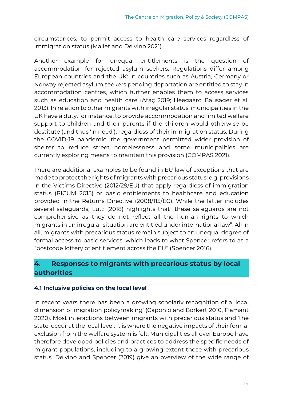circumstances, to permit access to health care services regardless of immigration status (Mallet and Delvino 2021).

Another example for unequal entitlements is the question of accommodation for rejected asylum seekers. Regulations differ among European countries and the UK: In countries such as Austria, Germany or Norway rejected asylum seekers pending deportation are entitled to stay in accommodation centres, which further enables them to access services such as education and health care (Ataç 2019; Heegaard Bausager et al. 2013). In relation to other migrants with irregular status, municipalities in the UK have a duty, for instance, to provide accommodation and limited welfare support to children and their parents if the children would otherwise be destitute (and thus 'in need'), regardless of their immigration status. During the COVID-19 pandemic, the government permitted wider provision of shelter to reduce street homelessness and some municipalities are currently exploring means to maintain this provision (COMPAS 2021).

There are additional examples to be found in EU law of exceptions that are made to protect the rights of migrants with precarious status: e.g. provisions in the Victims Directive (2012/29/EU) that apply regardless of immigration status (PICUM 2015) or basic entitlements to healthcare and education provided in the Returns Directive (2008/115/EC). While the latter includes several safeguards, Lutz (2018) highlights that "these safeguards are not comprehensive as they do not reflect all the human rights to which migrants in an irregular situation are entitled under international law". All in all, migrants with precarious status remain subject to an unequal degree of formal access to basic services, which leads to what Spencer refers to as a "postcode lottery of entitlement across the EU" (Spencer 2016).

## <span id="page-14-0"></span>**4. Responses to migrants with precarious status by local authorities**

## <span id="page-14-1"></span>**4.1 Inclusive policies on the local level**

In recent years there has been a growing scholarly recognition of a 'local dimension of migration policymaking' (Caponio and Borkert 2010, Flamant 2020). Most interactions between migrants with precarious status and 'the state' occur at the local level. It is where the negative impacts of their formal exclusion from the welfare system is felt. Municipalities all over Europe have therefore developed policies and practices to address the specific needs of migrant populations, including to a growing extent those with precarious status. Delvino and Spencer (2019) give an overview of the wide range of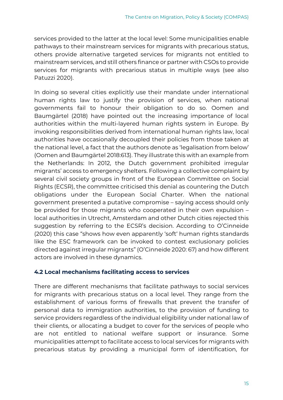services provided to the latter at the local level: Some municipalities enable pathways to their mainstream services for migrants with precarious status, others provide alternative targeted services for migrants not entitled to mainstream services, and still others finance or partner with CSOs to provide services for migrants with precarious status in multiple ways (see also Patuzzi 2020).

In doing so several cities explicitly use their mandate under international human rights law to justify the provision of services, when national governments fail to honour their obligation to do so. Oomen and Baumgärtel (2018) have pointed out the increasing importance of local authorities within the multi-layered human rights system in Europe. By invoking responsibilities derived from international human rights law, local authorities have occasionally decoupled their policies from those taken at the national level, a fact that the authors denote as 'legalisation from below' (Oomen and Baumgärtel 2018:613). They illustrate this with an example from the Netherlands: In 2012, the Dutch government prohibited irregular migrants' access to emergency shelters. Following a collective complaint by several civil society groups in front of the European Committee on Social Rights (ECSR), the committee criticised this denial as countering the Dutch obligations under the European Social Charter. When the national government presented a putative compromise – saying access should only be provided for those migrants who cooperated in their own expulsion – local authorities in Utrecht, Amsterdam and other Dutch cities rejected this suggestion by referring to the ECSR's decision. According to O'Cinneide (2020) this case "shows how even apparently 'soft' human rights standards like the ESC framework can be invoked to contest exclusionary policies directed against irregular migrants" (O'Cinneide 2020: 67) and how different actors are involved in these dynamics.

## <span id="page-15-0"></span>**4.2 Local mechanisms facilitating access to services**

There are different mechanisms that facilitate pathways to social services for migrants with precarious status on a local level. They range from the establishment of various forms of firewalls that prevent the transfer of personal data to immigration authorities, to the provision of funding to service providers regardless of the individual eligibility under national law of their clients, or allocating a budget to cover for the services of people who are not entitled to national welfare support or insurance. Some municipalities attempt to facilitate access to local services for migrants with precarious status by providing a municipal form of identification, for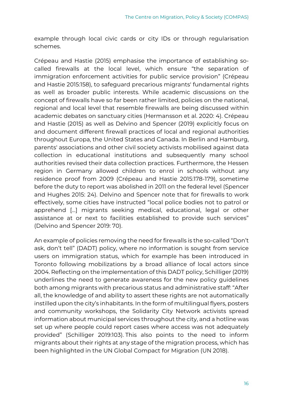example through local civic cards or city IDs or through regularisation schemes.

Crépeau and Hastie (2015) emphasise the importance of establishing socalled firewalls at the local level, which ensure "the separation of immigration enforcement activities for public service provision" (Crépeau and Hastie 2015:158), to safeguard precarious migrants' fundamental rights as well as broader public interests. While academic discussions on the concept of firewalls have so far been rather limited, policies on the national, regional and local level that resemble firewalls are being discussed within academic debates on sanctuary cities (Hermansson et al. 2020: 4). Crépeau and Hastie (2015) as well as Delvino and Spencer (2019) explicitly focus on and document different firewall practices of local and regional authorities throughout Europa, the United States and Canada. In Berlin and Hamburg, parents' associations and other civil society activists mobilised against data collection in educational institutions and subsequently many school authorities revised their data collection practices. Furthermore, the Hessen region in Germany allowed children to enrol in schools without any residence proof from 2009 (Crépeau and Hastie 2015:178-179), sometime before the duty to report was abolished in 2011 on the federal level (Spencer and Hughes 2015: 24). Delvino and Spencer note that for firewalls to work effectively, some cities have instructed "local police bodies not to patrol or apprehend [...] migrants seeking medical, educational, legal or other assistance at or next to facilities established to provide such services" (Delvino and Spencer 2019: 70).

An example of policies removing the need for firewalls is the so-called "Don't ask, don't tell" (DADT) policy, where no information is sought from service users on immigration status, which for example has been introduced in Toronto following mobilizations by a broad alliance of local actors since 2004. Reflecting on the implementation of this DADT policy, Schilliger (2019) underlines the need to generate awareness for the new policy guidelines both among migrants with precarious status and administrative staff: "After all, the knowledge of and ability to assert these rights are not automatically instilled upon the city's inhabitants. In the form of multilingual flyers, posters and community workshops, the Solidarity City Network activists spread information about municipal services throughout the city, and a hotline was set up where people could report cases where access was not adequately provided" (Schilliger 2019:103). This also points to the need to inform migrants about their rights at any stage of the migration process, which has been highlighted in the UN Global Compact for Migration (UN 2018).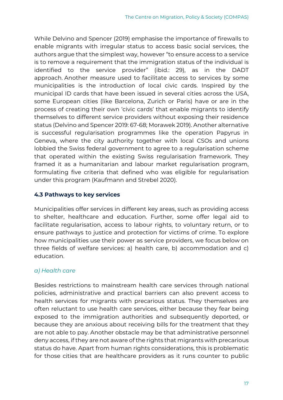While Delvino and Spencer (2019) emphasise the importance of firewalls to enable migrants with irregular status to access basic social services, the authors argue that the simplest way, however "to ensure access to a service is to remove a requirement that the immigration status of the individual is identified to the service provider" (ibid.: 29), as in the DADT approach. Another measure used to facilitate access to services by some municipalities is the introduction of local civic cards. Inspired by the municipal ID cards that have been issued in several cities across the USA, some European cities (like Barcelona, Zurich or Paris) have or are in the process of creating their own 'civic cards' that enable migrants to identify themselves to different service providers without exposing their residence status (Delvino and Spencer 2019: 67-68; Morawek 2019). Another alternative is successful regularisation programmes like the operation Papyrus in Geneva, where the city authority together with local CSOs and unions lobbied the Swiss federal government to agree to a regularisation scheme that operated within the existing Swiss regularisation framework. They framed it as a humanitarian and labour market regularisation program, formulating five criteria that defined who was eligible for regularisation under this program (Kaufmann and Strebel 2020).

## <span id="page-17-0"></span>**4.3 Pathways to key services**

Municipalities offer services in different key areas, such as providing access to shelter, healthcare and education. Further, some offer legal aid to facilitate regularisation, access to labour rights, to voluntary return, or to ensure pathways to justice and protection for victims of crime. To explore how municipalities use their power as service providers, we focus below on three fields of welfare services: a) health care, b) accommodation and c) education.

## *a) Health care*

Besides restrictions to mainstream health care services through national policies, administrative and practical barriers can also prevent access to health services for migrants with precarious status. They themselves are often reluctant to use health care services, either because they fear being exposed to the immigration authorities and subsequently deported, or because they are anxious about receiving bills for the treatment that they are not able to pay. Another obstacle may be that administrative personnel deny access, if they are not aware of the rights that migrants with precarious status do have. Apart from human rights considerations, this is problematic for those cities that are healthcare providers as it runs counter to public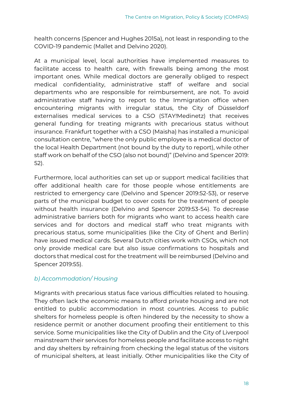health concerns (Spencer and Hughes 2015a), not least in responding to the COVID-19 pandemic (Mallet and Delvino 2020).

At a municipal level, local authorities have implemented measures to facilitate access to health care, with firewalls being among the most important ones. While medical doctors are generally obliged to respect medical confidentiality, administrative staff of welfare and social departments who are responsible for reimbursement, are not. To avoid administrative staff having to report to the Immigration office when encountering migrants with irregular status, the City of Düsseldorf externalises medical services to a CSO (STAY!Medinetz) that receives general funding for treating migrants with precarious status without insurance. Frankfurt together with a CSO (Maisha) has installed a municipal consultation centre, "where the only public employee is a medical doctor of the local Health Department (not bound by the duty to report), while other staff work on behalf of the CSO (also not bound)" (Delvino and Spencer 2019: 52).

Furthermore, local authorities can set up or support medical facilities that offer additional health care for those people whose entitlements are restricted to emergency care (Delvino and Spencer 2019:52-53), or reserve parts of the municipal budget to cover costs for the treatment of people without health insurance (Delvino and Spencer 2019:53-54). To decrease administrative barriers both for migrants who want to access health care services and for doctors and medical staff who treat migrants with precarious status, some municipalities (like the City of Ghent and Berlin) have issued medical cards. Several Dutch cities work with CSOs, which not only provide medical care but also issue confirmations to hospitals and doctors that medical cost for the treatment will be reimbursed (Delvino and Spencer 2019:55).

## *b) Accommodation/ Housing*

Migrants with precarious status face various difficulties related to housing. They often lack the economic means to afford private housing and are not entitled to public accommodation in most countries. Access to public shelters for homeless people is often hindered by the necessity to show a residence permit or another document proofing their entitlement to this service. Some municipalities like the City of Dublin and the City of Liverpool mainstream their services for homeless people and facilitate access to night and day shelters by refraining from checking the legal status of the visitors of municipal shelters, at least initially. Other municipalities like the City of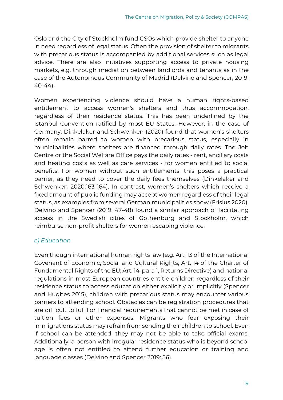Oslo and the City of Stockholm fund CSOs which provide shelter to anyone in need regardless of legal status. Often the provision of shelter to migrants with precarious status is accompanied by additional services such as legal advice. There are also initiatives supporting access to private housing markets, e.g. through mediation between landlords and tenants as in the case of the Autonomous Community of Madrid (Delvino and Spencer, 2019: 40-44).

Women experiencing violence should have a human rights-based entitlement to access women's shelters and thus accommodation, regardless of their residence status. This has been underlined by the Istanbul Convention ratified by most EU States. However, in the case of Germany, Dinkelaker and Schwenken (2020) found that women's shelters often remain barred to women with precarious status, especially in municipalities where shelters are financed through daily rates. The Job Centre or the Social Welfare Office pays the daily rates - rent, ancillary costs and heating costs as well as care services - for women entitled to social benefits. For women without such entitlements, this poses a practical barrier, as they need to cover the daily fees themselves (Dinkelaker and Schwenken 2020:163-164). In contrast, women's shelters which receive a fixed amount of public funding may accept women regardless of their legal status, as examples from several German municipalities show (Frisius 2020). Delvino and Spencer (2019: 47-48) found a similar approach of facilitating access in the Swedish cities of Gothenburg and Stockholm, which reimburse non-profit shelters for women escaping violence.

## *c) Education*

Even though international human rights law (e.g. Art. 13 of the International Covenant of Economic, Social and Cultural Rights; Art. 14 of the Charter of Fundamental Rights of the EU; Art. 14, para 1, Returns Directive) and national regulations in most European countries entitle children regardless of their residence status to access education either explicitly or implicitly (Spencer and Hughes 2015), children with precarious status may encounter various barriers to attending school. Obstacles can be registration procedures that are difficult to fulfil or financial requirements that cannot be met in case of tuition fees or other expenses. Migrants who fear exposing their immigrations status may refrain from sending their children to school. Even if school can be attended, they may not be able to take official exams. Additionally, a person with irregular residence status who is beyond school age is often not entitled to attend further education or training and language classes (Delvino and Spencer 2019: 56).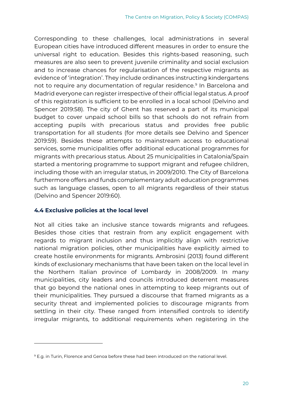Corresponding to these challenges, local administrations in several European cities have introduced different measures in order to ensure the universal right to education. Besides this rights-based reasoning, such measures are also seen to prevent juvenile criminality and social exclusion and to increase chances for regularisation of the respective migrants as evidence of 'integration'. They include ordinances instructing kindergartens not to require any documentation of reqular residence.<sup>9</sup> In Barcelona and Madrid everyone can register irrespective of their official legal status. A proof of this registration is sufficient to be enrolled in a local school (Delvino and Spencer 2019:58). The city of Ghent has reserved a part of its municipal budget to cover unpaid school bills so that schools do not refrain from accepting pupils with precarious status and provides free public transportation for all students (for more details see Delvino and Spencer 2019:59). Besides these attempts to mainstream access to educational services, some municipalities offer additional educational programmes for migrants with precarious status. About 25 municipalities in Catalonia/Spain started a mentoring programme to support migrant and refugee children, including those with an irregular status, in 2009/2010. The City of Barcelona furthermore offers and funds complementary adult education programmes such as language classes, open to all migrants regardless of their status (Delvino and Spencer 2019:60).

## <span id="page-20-0"></span>**4.4 Exclusive policies at the local level**

-

Not all cities take an inclusive stance towards migrants and refugees. Besides those cities that restrain from any explicit engagement with regards to migrant inclusion and thus implicitly align with restrictive national migration policies, other municipalities have explicitly aimed to create hostile environments for migrants. Ambrosini (2013) found different kinds of exclusionary mechanisms that have been taken on the local level in the Northern Italian province of Lombardy in 2008/2009. In many municipalities, city leaders and councils introduced deterrent measures that go beyond the national ones in attempting to keep migrants out of their municipalities. They pursued a discourse that framed migrants as a security threat and implemented policies to discourage migrants from settling in their city. These ranged from intensified controls to identify irregular migrants, to additional requirements when registering in the

<sup>9</sup> E.g. in Turin, Florence and Genoa before these had been introduced on the national level.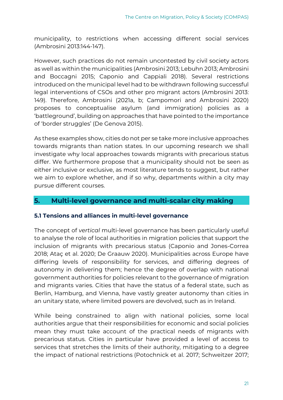municipality, to restrictions when accessing different social services (Ambrosini 2013:144-147).

However, such practices do not remain uncontested by civil society actors as well as within the municipalities (Ambrosini 2013; Lebuhn 2013; Ambrosini and Boccagni 2015; Caponio and Cappiali 2018). Several restrictions introduced on the municipal level had to be withdrawn following successful legal interventions of CSOs and other pro migrant actors (Ambrosini 2013: 149). Therefore, Ambrosini (2021a, b; Campomori and Ambrosini 2020) proposes to conceptualise asylum (and immigration) policies as a 'battleground', building on approaches that have pointed to the importance of 'border struggles' (De Genova 2015).

As these examples show, cities do not per se take more inclusive approaches towards migrants than nation states. In our upcoming research we shall investigate why local approaches towards migrants with precarious status differ. We furthermore propose that a municipality should not be seen as either inclusive or exclusive, as most literature tends to suggest, but rather we aim to explore whether, and if so why, departments within a city may pursue different courses.

## <span id="page-21-0"></span>**5. Multi-level governance and multi-scalar city making**

## <span id="page-21-1"></span>**5.1 Tensions and alliances in multi-level governance**

The concept of *vertical* multi-level governance has been particularly useful to analyse the role of local authorities in migration policies that support the inclusion of migrants with precarious status (Caponio and Jones-Correa 2018; Ataç et al. 2020; De Graauw 2020). Municipalities across Europe have differing levels of responsibility for services, and differing degrees of autonomy in delivering them; hence the degree of overlap with national government authorities for policies relevant to the governance of migration and migrants varies. Cities that have the status of a federal state, such as Berlin, Hamburg, and Vienna, have vastly greater autonomy than cities in an unitary state, where limited powers are devolved, such as in Ireland.

While being constrained to align with national policies, some local authorities argue that their responsibilities for economic and social policies mean they must take account of the practical needs of migrants with precarious status. Cities in particular have provided a level of access to services that stretches the limits of their authority, mitigating to a degree the impact of national restrictions (Potochnick et al. 2017; Schweitzer 2017;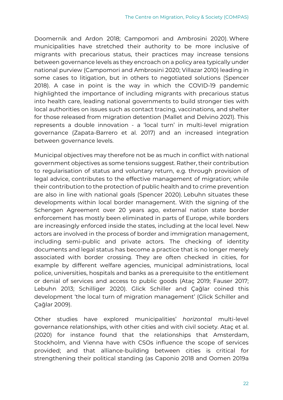Doomernik and Ardon 2018; Campomori and Ambrosini 2020). Where municipalities have stretched their authority to be more inclusive of migrants with precarious status, their practices may increase tensions between governance levels as they encroach on a policy area typically under national purview (Campomori and Ambrosini 2020; Villazar 2010) leading in some cases to litigation, but in others to negotiated solutions (Spencer 2018). A case in point is the way in which the COVID-19 pandemic highlighted the importance of including migrants with precarious status into health care, leading national governments to build stronger ties with local authorities on issues such as contact tracing, vaccinations, and shelter for those released from migration detention (Mallet and Delvino 2021). This represents a double innovation - a 'local turn' in multi-level migration governance (Zapata-Barrero et al. 2017) and an increased integration between governance levels.

Municipal objectives may therefore not be as much in conflict with national government objectives as some tensions suggest. Rather, their contribution to regularisation of status and voluntary return, e.g. through provision of legal advice, contributes to the effective management of migration; while their contribution to the protection of public health and to crime prevention are also in line with national goals (Spencer 2020). Lebuhn situates these developments within local border management. With the signing of the Schengen Agreement over 20 years ago, external nation state border enforcement has mostly been eliminated in parts of Europe, while borders are increasingly enforced inside the states, including at the local level. New actors are involved in the process of border and immigration management, including semi-public and private actors. The checking of identity documents and legal status has become a practice that is no longer merely associated with border crossing. They are often checked in cities, for example by different welfare agencies, municipal administrations, local police, universities, hospitals and banks as a prerequisite to the entitlement or denial of services and access to public goods (Ataç 2019; Fauser 2017; Lebuhn 2013; Schilliger 2020). Glick Schiller and Çağlar coined this development 'the local turn of migration management' (Glick Schiller and Çağlar 2009).

Other studies have explored municipalities' *horizontal* multi-level governance relationships, with other cities and with civil society. Ataç et al. (2020) for instance found that the relationships that Amsterdam, Stockholm, and Vienna have with CSOs influence the scope of services provided; and that alliance-building between cities is critical for strengthening their political standing (as Caponio 2018 and Oomen 2019a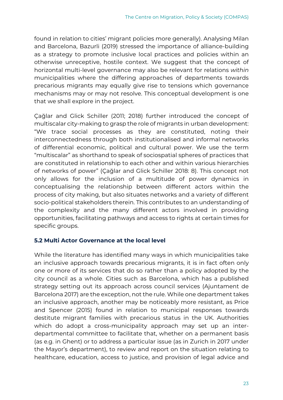found in relation to cities' migrant policies more generally). Analysing Milan and Barcelona, Bazurli (2019) stressed the importance of alliance-building as a strategy to promote inclusive local practices and policies within an otherwise unreceptive, hostile context. We suggest that the concept of horizontal multi-level governance may also be relevant for relations *within* municipalities where the differing approaches of departments towards precarious migrants may equally give rise to tensions which governance mechanisms may or may not resolve. This conceptual development is one that we shall explore in the project.

Çağlar and Glick Schiller (2011; 2018) further introduced the concept of multiscalar city-making to grasp the role of migrants in urban development: "We trace social processes as they are constituted, noting their interconnectedness through both institutionalised and informal networks of differential economic, political and cultural power. We use the term "multiscalar" as shorthand to speak of sociospatial spheres of practices that are constituted in relationship to each other and within various hierarchies of networks of power" (Çağlar and Glick Schiller 2018: 8). This concept not only allows for the inclusion of a multitude of power dynamics in conceptualising the relationship between different actors within the process of city making, but also situates networks and a variety of different socio-political stakeholders therein. This contributes to an understanding of the complexity and the many different actors involved in providing opportunities, facilitating pathways and access to rights at certain times for specific groups.

## <span id="page-23-0"></span>**5.2 Multi Actor Governance at the local level**

While the literature has identified many ways in which municipalities take an inclusive approach towards precarious migrants, it is in fact often only one or more of its services that do so rather than a policy adopted by the city council as a whole. Cities such as Barcelona, which has a published strategy setting out its approach across council services (Ajuntament de Barcelona 2017) are the exception, not the rule. While one department takes an inclusive approach, another may be noticeably more resistant, as Price and Spencer (2015) found in relation to municipal responses towards destitute migrant families with precarious status in the UK. Authorities which do adopt a cross-municipality approach may set up an interdepartmental committee to facilitate that, whether on a permanent basis (as e.g. in Ghent) or to address a particular issue (as in Zurich in 2017 under the Mayor's department), to review and report on the situation relating to healthcare, education, access to justice, and provision of legal advice and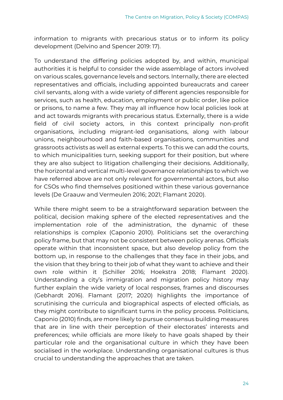information to migrants with precarious status or to inform its policy development (Delvino and Spencer 2019: 17).

To understand the differing policies adopted by, and within, municipal authorities it is helpful to consider the wide assemblage of actors involved on various scales, governance levels and sectors. Internally, there are elected representatives and officials, including appointed bureaucrats and career civil servants, along with a wide variety of different agencies responsible for services, such as health, education, employment or public order, like police or prisons, to name a few. They may all influence how local policies look at and act towards migrants with precarious status. Externally, there is a wide field of civil society actors, in this context principally non-profit organisations, including migrant-led organisations, along with labour unions, neighbourhood and faith-based organisations, communities and grassroots activists as well as external experts. To this we can add the courts, to which municipalities turn, seeking support for their position, but where they are also subject to litigation challenging their decisions. Additionally, the horizontal and vertical multi-level governance relationships to which we have referred above are not only relevant for governmental actors, but also for CSOs who find themselves positioned within these various governance levels (De Graauw and Vermeulen 2016; 2021; Flamant 2020).

While there might seem to be a straightforward separation between the political, decision making sphere of the elected representatives and the implementation role of the administration, the dynamic of these relationships is complex (Caponio 2010). Politicians set the overarching policy frame, but that may not be consistent between policy arenas. Officials operate within that inconsistent space, but also develop policy from the bottom up, in response to the challenges that they face in their jobs, and the vision that they bring to their job of what they want to achieve and their own role within it (Schiller 2016; Hoekstra 2018; Flamant 2020). Understanding a city's immigration and migration policy history may further explain the wide variety of local responses, frames and discourses (Gebhardt 2016). Flamant (2017; 2020) highlights the importance of scrutinising the curricula and biographical aspects of elected officials, as they might contribute to significant turns in the policy process. Politicians, Caponio (2010) finds, are more likely to pursue consensus building measures that are in line with their perception of their electorates' interests and preferences; while officials are more likely to have goals shaped by their particular role and the organisational culture in which they have been socialised in the workplace. Understanding organisational cultures is thus crucial to understanding the approaches that are taken.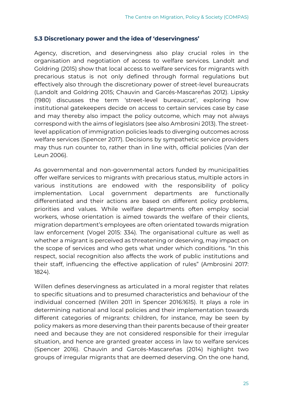#### <span id="page-25-0"></span>**5.3 Discretionary power and the idea of 'deservingness'**

Agency, discretion, and deservingness also play crucial roles in the organisation and negotiation of access to welfare services. Landolt and Goldring (2015) show that local access to welfare services for migrants with precarious status is not only defined through formal regulations but effectively also through the discretionary power of street-level bureaucrats (Landolt and Goldring 2015; Chauvin and Garcés-Mascareñas 2012). Lipsky (1980) discusses the term 'street-level bureaucrat', exploring how institutional gatekeepers decide on access to certain services case by case and may thereby also impact the policy outcome, which may not always correspond with the aims of legislators (see also Ambrosini 2013). The streetlevel application of immigration policies leads to diverging outcomes across welfare services (Spencer 2017). Decisions by sympathetic service providers may thus run counter to, rather than in line with, official policies (Van der Leun 2006).

As governmental and non-governmental actors funded by municipalities offer welfare services to migrants with precarious status, multiple actors in various institutions are endowed with the responsibility of policy implementation. Local government departments are functionally differentiated and their actions are based on different policy problems, priorities and values. While welfare departments often employ social workers, whose orientation is aimed towards the welfare of their clients, migration department's employees are often orientated towards migration law enforcement (Vogel 2015: 334). The organisational culture as well as whether a migrant is perceived as threatening or deserving, may impact on the scope of services and who gets what under which conditions. "In this respect, social recognition also affects the work of public institutions and their staff, influencing the effective application of rules" (Ambrosini 2017: 1824).

Willen defines deservingness as articulated in a moral register that relates to specific situations and to presumed characteristics and behaviour of the individual concerned (Willen 2011 in Spencer 2016:1615). It plays a role in determining national and local policies and their implementation towards different categories of migrants: children, for instance, may be seen by policy makers as more deserving than their parents because of their greater need and because they are not considered responsible for their irregular situation, and hence are granted greater access in law to welfare services (Spencer 2016). Chauvin and Garcés-Mascareñas (2014) highlight two groups of irregular migrants that are deemed deserving. On the one hand,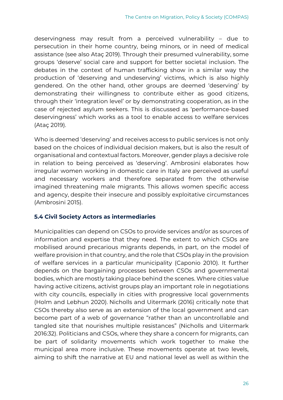deservingness may result from a perceived vulnerability – due to persecution in their home country, being minors, or in need of medical assistance (see also Ataç 2019). Through their presumed vulnerability, some groups 'deserve' social care and support for better societal inclusion. The debates in the context of human trafficking show in a similar way the production of 'deserving and undeserving' victims, which is also highly gendered. On the other hand, other groups are deemed 'deserving' by demonstrating their willingness to contribute either as good citizens, through their 'integration level' or by demonstrating cooperation, as in the case of rejected asylum seekers. This is discussed as 'performance-based deservingness' which works as a tool to enable access to welfare services (Ataç 2019).

Who is deemed 'deserving' and receives access to public services is not only based on the choices of individual decision makers, but is also the result of organisational and contextual factors. Moreover, gender plays a decisive role in relation to being perceived as 'deserving'. Ambrosini elaborates how irregular women working in domestic care in Italy are perceived as useful and necessary workers and therefore separated from the otherwise imagined threatening male migrants. This allows women specific access and agency, despite their insecure and possibly exploitative circumstances (Ambrosini 2015).

## <span id="page-26-0"></span>**5.4 Civil Society Actors as intermediaries**

Municipalities can depend on CSOs to provide services and/or as sources of information and expertise that they need. The extent to which CSOs are mobilised around precarious migrants depends, in part, on the model of welfare provision in that country, and the role that CSOs play in the provision of welfare services in a particular municipality (Caponio 2010). It further depends on the bargaining processes between CSOs and governmental bodies, which are mostly taking place behind the scenes. Where cities value having active citizens, activist groups play an important role in negotiations with city councils, especially in cities with progressive local governments (Holm and Lebhun 2020). Nicholls and Uitermark (2016) critically note that CSOs thereby also serve as an extension of the local government and can become part of a web of governance "rather than an uncontrollable and tangled site that nourishes multiple resistances" (Nicholls and Uitermark 2016:32). Politicians and CSOs, where they share a concern for migrants, can be part of solidarity movements which work together to make the municipal area more inclusive. These movements operate at two levels, aiming to shift the narrative at EU and national level as well as within the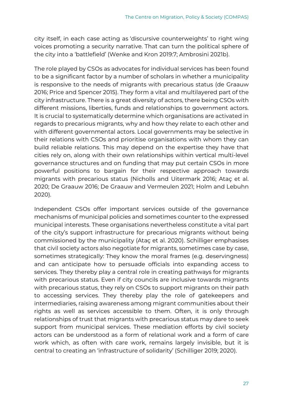city itself, in each case acting as 'discursive counterweights' to right wing voices promoting a security narrative. That can turn the political sphere of the city into a 'battlefield' (Wenke and Kron 2019:7; Ambrosini 2021b).

The role played by CSOs as advocates for individual services has been found to be a significant factor by a number of scholars in whether a municipality is responsive to the needs of migrants with precarious status (de Graauw 2016; Price and Spencer 2015). They form a vital and multilayered part of the city infrastructure. There is a great diversity of actors, there being CSOs with different missions, liberties, funds and relationships to government actors. It is crucial to systematically determine which organisations are activated in regards to precarious migrants, why and how they relate to each other and with different governmental actors. Local governments may be selective in their relations with CSOs and prioritise organisations with whom they can build reliable relations. This may depend on the expertise they have that cities rely on, along with their own relationships within vertical multi-level governance structures and on funding that may put certain CSOs in more powerful positions to bargain for their respective approach towards migrants with precarious status (Nicholls and Uitermark 2016; Ataç et al. 2020; De Graauw 2016; De Graauw and Vermeulen 2021; Holm and Lebuhn 2020).

Independent CSOs offer important services outside of the governance mechanisms of municipal policies and sometimes counter to the expressed municipal interests. These organisations nevertheless constitute a vital part of the city's support infrastructure for precarious migrants without being commissioned by the municipality (Ataç et al. 2020). Schilliger emphasises that civil society actors also negotiate for migrants, sometimes case by case, sometimes strategically: They know the moral frames (e.g. deservingness) and can anticipate how to persuade officials into expanding access to services. They thereby play a central role in creating pathways for migrants with precarious status. Even if city councils are inclusive towards migrants with precarious status, they rely on CSOs to support migrants on their path to accessing services. They thereby play the role of gatekeepers and intermediaries, raising awareness among migrant communities about their rights as well as services accessible to them. Often, it is only through relationships of trust that migrants with precarious status may dare to seek support from municipal services. These mediation efforts by civil society actors can be understood as a form of relational work and a form of care work which, as often with care work, remains largely invisible, but it is central to creating an 'infrastructure of solidarity' (Schilliger 2019; 2020).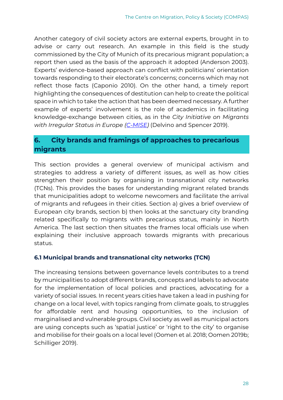Another category of civil society actors are external experts, brought in to advise or carry out research. An example in this field is the study commissioned by the City of Munich of its precarious migrant population; a report then used as the basis of the approach it adopted (Anderson 2003). Experts' evidence-based approach can conflict with politicians' orientation towards responding to their electorate's concerns; concerns which may not reflect those facts (Caponio 2010). On the other hand, a timely report highlighting the consequences of destitution can help to create the political space in which to take the action that has been deemed necessary. A further example of experts' involvement is the role of academics in facilitating knowledge-exchange between cities, as in the *City Initiative on Migrants with Irregular Status in Europe [\(C-MISE\)](https://cmise.web.ox.ac.uk/#/)* (Delvino and Spencer 2019).

## <span id="page-28-0"></span>**6. City brands and framings of approaches to precarious migrants**

This section provides a general overview of municipal activism and strategies to address a variety of different issues, as well as how cities strengthen their position by organising in transnational city networks (TCNs). This provides the bases for understanding migrant related brands that municipalities adopt to welcome newcomers and facilitate the arrival of migrants and refugees in their cities. Section a) gives a brief overview of European city brands, section b) then looks at the sanctuary city branding related specifically to migrants with precarious status, mainly in North America. The last section then situates the frames local officials use when explaining their inclusive approach towards migrants with precarious status.

## <span id="page-28-1"></span>**6.1 Municipal brands and transnational city networks (TCN)**

The increasing tensions between governance levels contributes to a trend by municipalities to adopt different brands, concepts and labels to advocate for the implementation of local policies and practices, advocating for a variety of social issues. In recent years cities have taken a lead in pushing for change on a local level, with topics ranging from climate goals, to struggles for affordable rent and housing opportunities, to the inclusion of marginalised and vulnerable groups. Civil society as well as municipal actors are using concepts such as 'spatial justice' or 'right to the city' to organise and mobilise for their goals on a local level (Oomen et al. 2018; Oomen 2019b; Schilliger 2019).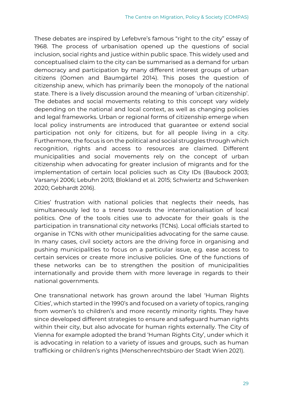These debates are inspired by Lefebvre's famous "right to the city" essay of 1968. The process of urbanisation opened up the questions of social inclusion, social rights and justice within public space. This widely used and conceptualised claim to the city can be summarised as a demand for urban democracy and participation by many different interest groups of urban citizens (Oomen and Baumgärtel 2014). This poses the question of citizenship anew, which has primarily been the monopoly of the national state. There is a lively discussion around the meaning of 'urban citizenship'. The debates and social movements relating to this concept vary widely depending on the national and local context, as well as changing policies and legal frameworks. Urban or regional forms of citizenship emerge when local policy instruments are introduced that guarantee or extend social participation not only for citizens, but for all people living in a city. Furthermore, the focus is on the political and social struggles through which recognition, rights and access to resources are claimed. Different municipalities and social movements rely on the concept of urban citizenship when advocating for greater inclusion of migrants and for the implementation of certain local policies such as City IDs (Baubock 2003; Varsanyi 2006; Lebuhn 2013; Blokland et al. 2015; Schwiertz and Schwenken 2020; Gebhardt 2016).

Cities' frustration with national policies that neglects their needs, has simultaneously led to a trend towards the internationalisation of local politics. One of the tools cities use to advocate for their goals is the participation in transnational city networks (TCNs). Local officials started to organise in TCNs with other municipalities advocating for the same cause. In many cases, civil society actors are the driving force in organising and pushing municipalities to focus on a particular issue, e.g. ease access to certain services or create more inclusive policies. One of the functions of these networks can be to strengthen the position of municipalities internationally and provide them with more leverage in regards to their national governments.

One transnational network has grown around the label 'Human Rights Cities', which started in the 1990's and focused on a variety of topics, ranging from women's to children's and more recently minority rights. They have since developed different strategies to ensure and safeguard human rights within their city, but also advocate for human rights externally. The City of Vienna for example adopted the brand 'Human Rights City', under which it is advocating in relation to a variety of issues and groups, such as human trafficking or children's rights (Menschenrechtsbüro der Stadt Wien 2021).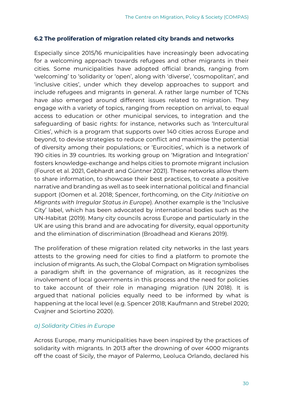#### <span id="page-30-0"></span>**6.2 The proliferation of migration related city brands and networks**

Especially since 2015/16 municipalities have increasingly been advocating for a welcoming approach towards refugees and other migrants in their cities. Some municipalities have adopted official brands, ranging from 'welcoming' to 'solidarity or 'open', along with 'diverse', 'cosmopolitan', and 'inclusive cities', under which they develop approaches to support and include refugees and migrants in general. A rather large number of TCNs have also emerged around different issues related to migration. They engage with a variety of topics, ranging from reception on arrival, to equal access to education or other municipal services, to integration and the safeguarding of basic rights: for instance, networks such as 'Intercultural Cities', which is a program that supports over 140 cities across Europe and beyond, to devise strategies to reduce conflict and maximise the potential of diversity among their populations; or 'Eurocities', which is a network of 190 cities in 39 countries. Its working group on 'Migration and Integration' fosters knowledge-exchange and helps cities to promote migrant inclusion (Fourot et al. 2021, Gebhardt and Güntner 2021). These networks allow them to share information, to showcase their best practices, to create a positive narrative and branding as well as to seek international political and financial support (Oomen et al. 2018; Spencer, forthcoming, on the *City Initiative on Migrants with Irregular Status in Europe*). Another example is the 'Inclusive City' label, which has been advocated by international bodies such as the UN-Habitat (2019). Many city councils across Europe and particularly in the UK are using this brand and are advocating for diversity, equal opportunity and the elimination of discrimination (Broadhead and Kierans 2019).

The proliferation of these migration related city networks in the last years attests to the growing need for cities to find a platform to promote the inclusion of migrants. As such, the Global Compact on Migration symbolises a paradigm shift in the governance of migration, as it recognizes the involvement of local governments in this process and the need for policies to take account of their role in managing migration (UN 2018). It is argued that national policies equally need to be informed by what is happening at the local level (e.g. Spencer 2018; Kaufmann and Strebel 2020; Cvajner and Sciortino 2020).

## *a) Solidarity Cities in Europe*

Across Europe, many municipalities have been inspired by the practices of solidarity with migrants. In 2013 after the drowning of over 4000 migrants off the coast of Sicily, the mayor of Palermo, Leoluca Orlando, declared his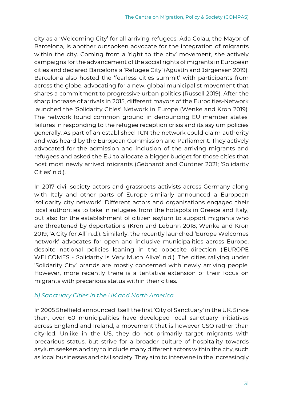city as a 'Welcoming City' for all arriving refugees. Ada Colau, the Mayor of Barcelona, is another outspoken advocate for the integration of migrants within the city. Coming from a 'right to the city' movement, she actively campaigns for the advancement of the social rights of migrants in European cities and declared Barcelona a 'Refugee City' (Agustín and Jørgensen 2019). Barcelona also hosted the 'fearless cities summit' with participants from across the globe, advocating for a new, global municipalist movement that shares a commitment to progressive urban politics (Russell 2019). After the sharp increase of arrivals in 2015, different mayors of the Eurocities-Network launched the 'Solidarity Cities' Network in Europe (Wenke and Kron 2019). The network found common ground in denouncing EU member states' failures in responding to the refugee reception crisis and its asylum policies generally. As part of an established TCN the network could claim authority and was heard by the European Commission and Parliament. They actively advocated for the admission and inclusion of the arriving migrants and refugees and asked the EU to allocate a bigger budget for those cities that host most newly arrived migrants (Gebhardt and Güntner 2021; 'Solidarity Cities' n.d.).

In 2017 civil society actors and grassroots activists across Germany along with Italy and other parts of Europe similarly announced a European 'solidarity city network'. Different actors and organisations engaged their local authorities to take in refugees from the hotspots in Greece and Italy, but also for the establishment of citizen asylum to support migrants who are threatened by deportations (Kron and Lebuhn 2018; Wenke and Kron 2019; 'A City for All' n.d.). Similarly, the recently launched 'Europe Welcomes network' advocates for open and inclusive municipalities across Europe, despite national policies leaning in the opposite direction ('EUROPE WELCOMES - Solidarity Is Very Much Alive' n.d.). The cities rallying under 'Solidarity City' brands are mostly concerned with newly arriving people. However, more recently there is a tentative extension of their focus on migrants with precarious status within their cities.

## *b) Sanctuary Cities in the UK and North America*

In 2005 Sheffield announced itself the first 'City of Sanctuary' in the UK. Since then, over 60 municipalities have developed local sanctuary initiatives across England and Ireland, a movement that is however CSO rather than city-led. Unlike in the US, they do not primarily target migrants with precarious status, but strive for a broader culture of hospitality towards asylum seekers and try to include many different actors within the city, such as local businesses and civil society. They aim to intervene in the increasingly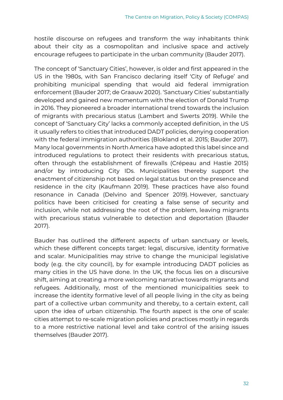hostile discourse on refugees and transform the way inhabitants think about their city as a cosmopolitan and inclusive space and actively encourage refugees to participate in the urban community (Bauder 2017).

The concept of 'Sanctuary Cities', however, is older and first appeared in the US in the 1980s, with San Francisco declaring itself 'City of Refuge' and prohibiting municipal spending that would aid federal immigration enforcement (Bauder 2017; de Graauw 2020). 'Sanctuary Cities' substantially developed and gained new momentum with the election of Donald Trump in 2016. They pioneered a broader international trend towards the inclusion of migrants with precarious status (Lambert and Swerts 2019). While the concept of 'Sanctuary City' lacks a commonly accepted definition, in the US it usually refers to cities that introduced DADT policies, denying cooperation with the federal immigration authorities (Blokland et al. 2015; Bauder 2017). Many local governments in North America have adopted this label since and introduced regulations to protect their residents with precarious status, often through the establishment of firewalls (Crépeau and Hastie 2015) and/or by introducing City IDs. Municipalities thereby support the enactment of citizenship not based on legal status but on the presence and residence in the city (Kaufmann 2019). These practices have also found resonance in Canada (Delvino and Spencer 2019). However, sanctuary politics have been criticised for creating a false sense of security and inclusion, while not addressing the root of the problem, leaving migrants with precarious status vulnerable to detection and deportation (Bauder 2017).

Bauder has outlined the different aspects of urban sanctuary or levels, which these different concepts target: legal, discursive, identity formative and scalar. Municipalities may strive to change the municipal legislative body (e.g. the city council), by for example introducing DADT policies as many cities in the US have done. In the UK, the focus lies on a discursive shift, aiming at creating a more welcoming narrative towards migrants and refugees. Additionally, most of the mentioned municipalities seek to increase the identity formative level of all people living in the city as being part of a collective urban community and thereby, to a certain extent, call upon the idea of urban citizenship. The fourth aspect is the one of scale: cities attempt to re-scale migration policies and practices mostly in regards to a more restrictive national level and take control of the arising issues themselves (Bauder 2017).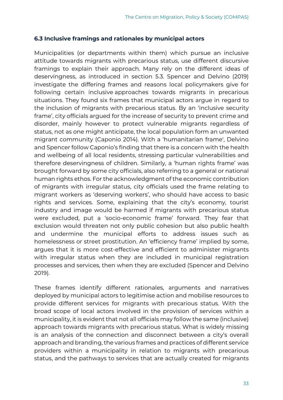#### <span id="page-33-0"></span>**6.3 Inclusive framings and rationales by municipal actors**

Municipalities (or departments within them) which pursue an inclusive attitude towards migrants with precarious status, use different discursive framings to explain their approach. Many rely on the different ideas of deservingness, as introduced in section 5.3. Spencer and Delvino (2019) investigate the differing frames and reasons local policymakers give for following certain inclusive approaches towards migrants in precarious situations. They found six frames that municipal actors argue in regard to the inclusion of migrants with precarious status. By an 'inclusive security frame', city officials argued for the increase of security to prevent crime and disorder, mainly however to protect vulnerable migrants regardless of status, not as one might anticipate, the local population form an unwanted migrant community (Caponio 2014). With a 'humanitarian frame', Delvino and Spencer follow Caponio's finding that there is a concern with the health and wellbeing of all local residents, stressing particular vulnerabilities and therefore deservingness of children. Similarly, a 'human rights frame' was brought forward by some city officials, also referring to a general or national human rights ethos. For the acknowledgment of the economic contribution of migrants with irregular status, city officials used the frame relating to migrant workers as 'deserving workers', who should have access to basic rights and services. Some, explaining that the city's economy, tourist industry and image would be harmed if migrants with precarious status were excluded, put a 'socio-economic frame' forward. They fear that exclusion would threaten not only public cohesion but also public health and undermine the municipal efforts to address issues such as homelessness or street prostitution. An 'efficiency frame' implied by some, argues that it is more cost-effective and efficient to administer migrants with irregular status when they are included in municipal registration processes and services, then when they are excluded (Spencer and Delvino 2019).

These frames identify different rationales, arguments and narratives deployed by municipal actors to legitimise action and mobilise resources to provide different services for migrants with precarious status. With the broad scope of local actors involved in the provision of services within a municipality, it is evident that not all officials may follow the same (inclusive) approach towards migrants with precarious status. What is widely missing is an analysis of the connection and disconnect between a city's overall approach and branding, the various frames and practices of different service providers within a municipality in relation to migrants with precarious status, and the pathways to services that are actually created for migrants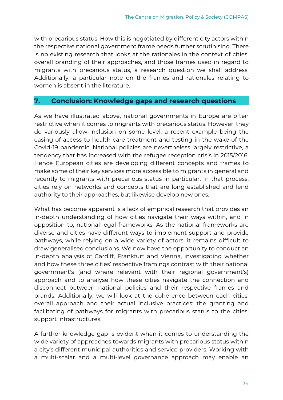with precarious status. How this is negotiated by different city actors within the respective national government frame needs further scrutinising. There is no existing research that looks at the rationales in the context of cities' overall branding of their approaches, and those frames used in regard to migrants with precarious status, a research question we shall address. Additionally, a particular note on the frames and rationales relating to women is absent in the literature.

## <span id="page-34-0"></span>**7. Conclusion: Knowledge gaps and research questions**

As we have illustrated above, national governments in Europe are often restrictive when it comes to migrants with precarious status. However, they do variously allow inclusion on some level, a recent example being the easing of access to health care treatment and testing in the wake of the Covid-19 pandemic. National policies are nevertheless largely restrictive, a tendency that has increased with the refugee reception crisis in 2015/2016. Hence European cities are developing different concepts and frames to make some of their key services more accessible to migrants in general and recently to migrants with precarious status in particular. In that process, cities rely on networks and concepts that are long established and lend authority to their approaches, but likewise develop new ones.

What has become apparent is a lack of empirical research that provides an in-depth understanding of how cities navigate their ways within, and in opposition to, national legal frameworks. As the national frameworks are diverse and cities have different ways to implement support and provide pathways, while relying on a wide variety of actors, it remains difficult to draw generalised conclusions. We now have the opportunity to conduct an in-depth analysis of Cardiff, Frankfurt and Vienna, investigating whether and how these three cities' respective framings contrast with their national government's (and where relevant with their regional government's) approach and to analyse how these cities navigate the connection and disconnect between national policies and their respective frames and brands. Additionally, we will look at the coherence between each cities' overall approach and their actual inclusive practices: the granting and facilitating of pathways for migrants with precarious status to the cities' support infrastructures.

A further knowledge gap is evident when it comes to understanding the wide variety of approaches towards migrants with precarious status within a city's different municipal authorities and service providers. Working with a multi-scalar and a multi-level governance approach may enable an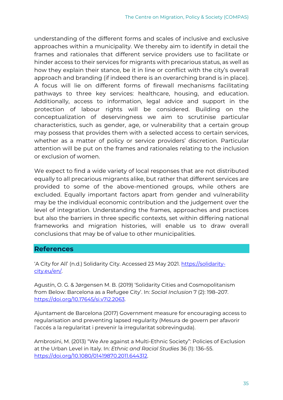understanding of the different forms and scales of inclusive and exclusive approaches within a municipality. We thereby aim to identify in detail the frames and rationales that different service providers use to facilitate or hinder access to their services for migrants with precarious status, as well as how they explain their stance, be it in line or conflict with the city's overall approach and branding (if indeed there is an overarching brand is in place). A focus will lie on different forms of firewall mechanisms facilitating pathways to three key services: healthcare, housing, and education. Additionally, access to information, legal advice and support in the protection of labour rights will be considered. Building on the conceptualization of deservingness we aim to scrutinise particular characteristics, such as gender, age, or vulnerability that a certain group may possess that provides them with a selected access to certain services, whether as a matter of policy or service providers' discretion. Particular attention will be put on the frames and rationales relating to the inclusion or exclusion of women.

We expect to find a wide variety of local responses that are not distributed equally to all precarious migrants alike, but rather that different services are provided to some of the above-mentioned groups, while others are excluded. Equally important factors apart from gender and vulnerability may be the individual economic contribution and the judgement over the level of integration. Understanding the frames, approaches and practices but also the barriers in three specific contexts, set within differing national frameworks and migration histories, will enable us to draw overall conclusions that may be of value to other municipalities.

## <span id="page-35-0"></span>**References**

'A City for All' (n.d.) Solidarity City. Accessed 23 May 2021. [https://solidarity](https://solidarity-city.eu/en/)[city.eu/en/.](https://solidarity-city.eu/en/) 

Agustín, O. G. & Jørgensen M. B. (2019) 'Solidarity Cities and Cosmopolitanism from Below: Barcelona as a Refugee City'. In: *Social Inclusion* 7 (2): 198–207. [https://doi.org/10.17645/si.v7i2.2063.](https://doi.org/10.17645/si.v7i2.2063)

Ajuntament de Barcelona (2017) Government measure for encouraging access to regularisation and preventing lapsed regularity (Mesura de govern per afavorir l'accés a la regularitat i prevenir la irregularitat sobrevinguda).

Ambrosini, M. (2013) "We Are against a Multi-Ethnic Society": Policies of Exclusion at the Urban Level in Italy. In: *Ethnic and Racial Studies* 36 (1): 136–55. [https://doi.org/10.1080/01419870.2011.644312.](https://doi.org/10.1080/01419870.2011.644312)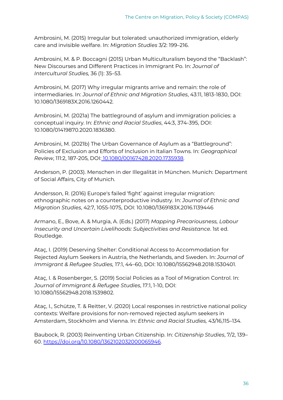Ambrosini, M. (2015) Irregular but tolerated: unauthorized immigration, elderly care and invisible welfare. In: *Migration Studies* 3/2: 199–216.

Ambrosini, M. & P. Boccagni (2015) Urban Multiculturalism beyond the "Backlash": New Discourses and Different Practices in Immigrant Po. In: *Journal of Intercultural Studies,* 36 (1): 35–53.

Ambrosini, M. (2017) Why irregular migrants arrive and remain: the role of intermediaries. In: *Journal of Ethnic and Migration Studies*, 43:11, 1813-1830, DOI: 10.1080/1369183X.2016.1260442.

Ambrosini, M. (2021a) The battleground of asylum and immigration policies: a conceptual inquiry. In: *Ethnic and Racial Studies*, 44:3, 374-395, DOI: 10.1080/01419870.2020.1836380.

Ambrosini, M. (2021b) The Urban Governance of Asylum as a "Battleground": Policies of Exclusion and Efforts of Inclusion in Italian Towns. In: *Geographical Review*, 111:2, 187-205, DOI: [10.1080/00167428.2020.1735938.](https://doi.org/10.1080/00167428.2020.1735938)

Anderson, P. (2003). Menschen in der Illegalität in München. Munich: Department of Social Affairs, City of Munich.

Andersson, R. (2016) Europe's failed 'fight' against irregular migration: ethnographic notes on a counterproductive industry. In: *Journal of Ethnic and Migration Studies*, 42:7, 1055-1075, DOI: 10.1080/1369183X.2016.1139446

Armano, E., Bove, A. & Murgia, A. (Eds.) (2017) *Mapping Precariousness, Labour Insecurity and Uncertain Livelihoods: Subjectivities and Resistance*. 1st ed. Routledge.

Ataç, I. (2019) Deserving Shelter: Conditional Access to Accommodation for Rejected Asylum Seekers in Austria, the Netherlands, and Sweden. In: *Journal of Immigrant & Refugee Studies,* 17:1, 44–60, DOI: 10.1080/15562948.2018.1530401.

Ataç, I. & Rosenberger, S. (2019) Social Policies as a Tool of Migration Control. In: *Journal of Immigrant & Refugee Studies*, 17:1, 1-10, DOI: 10.1080/15562948.2018.1539802.

Ataç, I., Schütze, T. & Reitter, V. (2020) Local responses in restrictive national policy contexts: Welfare provisions for non-removed rejected asylum seekers in Amsterdam, Stockholm and Vienna. In: *Ethnic and Racial Studies,* 43/16,115–134.

Baubock, R. (2003) Reinventing Urban Citizenship. In: *Citizenship Studies*, 7/2, 139– 60. [https://doi.org/10.1080/1362102032000065946.](https://doi.org/10.1080/1362102032000065946)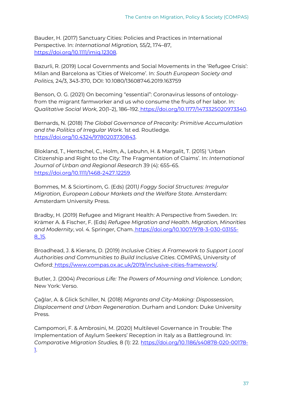Bauder, H. (2017) Sanctuary Cities: Policies and Practices in International Perspective. In: *International Migration,* 55/2, 174–87, [https://doi.org/10.1111/imig.12308.](https://doi.org/10.1111/imig.12308) 

Bazurli, R. (2019) Local Governments and Social Movements in the 'Refugee Crisis': Milan and Barcelona as 'Cities of Welcome'. In: *South European Society and Politics,* 24/3, 343-370, DOI: 10.1080/13608746.2019.163759

Benson, O. G. (2021) On becoming "essential": Coronavirus lessons of ontologyfrom the migrant farmworker and us who consume the fruits of her labor. In: *Qualitative Social Work*, 20(1–2), 186–19[2.](https://doi.org/10.1177/1473325020973340) [https://doi.org/10.1177/1473325020973340.](https://doi.org/10.1177/1473325020973340)

Bernards, N. (2018) *The Global Governance of Precarity: Primitive Accumulation and the Politics of Irregular Work*. 1st ed. Routledge. [https://doi.org/10.4324/9780203730843.](https://doi.org/10.4324/9780203730843)

Blokland, T., Hentschel, C., Holm, A., Lebuhn, H. & Margalit, T. (2015) 'Urban Citizenship and Right to the City: The Fragmentation of Claims'. In: *International Journal of Urban and Regional Research* 39 (4): 655–6[5.](https://doi.org/10.1111/1468-2427.12259) [https://doi.org/10.1111/1468-2427.12259.](https://doi.org/10.1111/1468-2427.12259) 

Bommes, M. & Sciortinom, G. (Eds) (2011*) Foggy Social Structures: Irregular Migration, European Labour Markets and the Welfare State*. Amsterdam: Amsterdam University Press.

Bradby, H. (2019) Refugee and Migrant Health: A Perspective from Sweden. In: Krämer A. & Fischer, F. (Eds) *Refugee Migration and Health. Migration, Minorities and Modernity*, vol. 4. Springer, Cham. [https://doi.org/10.1007/978-3-030-03155-](https://doi.org/10.1007/978-3-030-03155-8_15) [8\\_15.](https://doi.org/10.1007/978-3-030-03155-8_15)

Broadhead, J. & Kierans, D. (2019) *Inclusive Cities: A Framework to Support Local Authorities and Communities to Build Inclusive Cities*. COMPAS, University of Oxford: [https://www.compas.ox.ac.uk/2019/inclusive-cities-framework/.](https://www.compas.ox.ac.uk/2019/inclusive-cities-framework/) 

Butler, J. (2004) *Precarious Life: The Powers of Mourning and Violence*. London; New York: Verso.

Çağlar, A. & Glick Schiller, N. (2018) *Migrants and City-Making: Dispossession, Displacement and Urban Regeneration*. Durham and London: Duke University Press.

Campomori, F. & Ambrosini, M. (2020) Multilevel Governance in Trouble: The Implementation of Asylum Seekers' Reception in Italy as a Battleground. In: *Comparative Migration Studies,* 8 (1): 22. [https://doi.org/10.1186/s40878-020-00178-](https://doi.org/10.1186/s40878-020-00178-1) [1.](https://doi.org/10.1186/s40878-020-00178-1)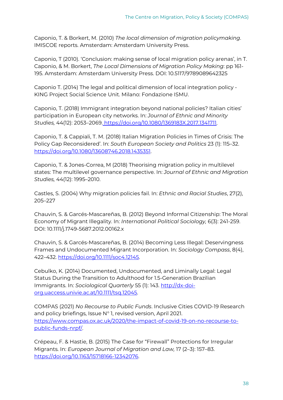Caponio, T. & Borkert, M. (2010) *The local dimension of migration policymaking*. IMISCOE reports. Amsterdam: Amsterdam University Press.

Caponio, T (2010). 'Conclusion: making sense of local migration policy arenas', in T. Caponio, & M. Borkert, *The Local Dimensions of Migration Policy Making*: pp 161- 195. Amsterdam: Amsterdam University Press. DOI: 10.5117/9789089642325

Caponio T. (2014) The legal and political dimension of local integration policy - KING Project Social Science Unit. Milano: Fondazione ISMU.

Caponio, T. (2018) Immigrant integration beyond national policies? Italian cities' participation in European city networks. In: *Journal of Ethnic and Minority Studies,* 44(12): 2053–2069[.](https://doi.org/10.1080/1369183X.2017.1341711) [https://doi.org/10.1080/1369183X.2017.1341711.](https://doi.org/10.1080/1369183X.2017.1341711) 

Caponio, T. & Cappiali, T. M. (2018) Italian Migration Policies in Times of Crisis: The Policy Gap Reconsidered'. In: *South European Society and Politics* 23 (1): 115–32. [https://doi.org/10.1080/13608746.2018.1435351.](https://doi.org/10.1080/13608746.2018.1435351)

Caponio, T. & Jones-Correa, M (2018) Theorising migration policy in multilevel states: The multilevel governance perspective. In: *Journal of Ethnic and Migration Studies,* 44(12): 1995–2010.

Castles, S. (2004) Why migration policies fail. In: *Ethnic and Racial Studies*, 27(2), 205–227

Chauvin, S. & Garcés-Mascareñas, B. (2012) Beyond Informal Citizenship: The Moral Economy of Migrant Illegality. In: *International Political Sociology,* 6(3): 241-259. DOI: 10.1111/j.1749-5687.2012.00162.x

Chauvin, S. & Garcés-Mascareñas, B. (2014) Becoming Less Illegal: Deservingness Frames and Undocumented Migrant Incorporation. In: *Sociology Compass*, 8(4), 422–432. [https://doi.org/10.1111/soc4.12145.](https://doi.org/10.1111/soc4.12145)

Cebulko, K. (2014) Documented, Undocumented, and Liminally Legal: Legal Status During the Transition to Adulthood for 1.5-Generation Brazilian Immigrants. In: *Sociological Quarterly* 55 (1): 143. [http://dx-doi](http://dx-doi-org.uaccess.univie.ac.at/10.1111/tsq.12045)[org.uaccess.univie.ac.at/10.1111/tsq.12045.](http://dx-doi-org.uaccess.univie.ac.at/10.1111/tsq.12045) 

COMPAS (2021) *No Recourse to Public Funds*. Inclusive Cities COVID-19 Research and policy briefings, Issue N° 1, revised version, April 2021. [https://www.compas.ox.ac.uk/2020/the-impact-of-covid-19-on-no-recourse-to](https://www.compas.ox.ac.uk/2020/the-impact-of-covid-19-on-no-recourse-to-public-funds-nrpf/)[public-funds-nrpf/.](https://www.compas.ox.ac.uk/2020/the-impact-of-covid-19-on-no-recourse-to-public-funds-nrpf/)

Crépeau, F. & Hastie, B. (2015) The Case for "Firewall" Protections for Irregular Migrants. In: *European Journal of Migration and Law,* 17 (2–3): 157–83. [https://doi.org/10.1163/15718166-12342076.](https://doi.org/10.1163/15718166-12342076)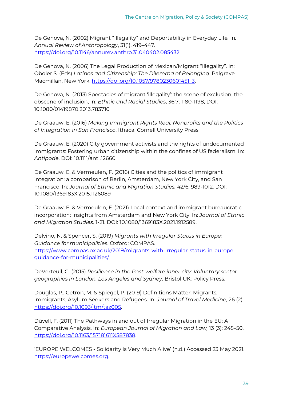De Genova, N. (2002) Migrant "Illegality" and Deportability in Everyday Life*.* In*: Annual Review of Anthropology*, 31(1), 419–44[7.](https://doi.org/10.1146/annurev.anthro.31.040402.085432) [https://doi.org/10.1146/annurev.anthro.31.040402.085432.](https://doi.org/10.1146/annurev.anthro.31.040402.085432) 

De Genova, N. (2006) The Legal Production of Mexican/Migrant "Illegality". In: Oboler S. (Eds) *Latinos and Citizenship: The Dilemma of Belonging*. Palgrave Macmillan, New York. [https://doi.org/10.1057/9780230601451\\_3.](https://doi.org/10.1057/9780230601451_3)

De Genova, N. (2013) Spectacles of migrant 'illegality': the scene of exclusion, the obscene of inclusion, In: *Ethnic and Racial Studies*, 36:7, 1180-1198, DOI: 10.1080/01419870.2013.783710

De Graauw, E. (2016) *Making Immigrant Rights Real: Nonprofits and the Politics of Integration in San Francisco*. Ithaca: Cornell University Press

De Graauw, E. (2020) City government activists and the rights of undocumented immigrants: Fostering urban citizenship within the confines of US federalism. In: *Antipode*. DOI: 10.1111/anti.12660.

De Graauw, E. & Vermeulen, F. (2016) Cities and the politics of immigrant integration: a comparison of Berlin, Amsterdam, New York City, and San Francisco. In: *Journal of Ethnic and Migration Studies,* 42/6, 989-1012. DOI: 10.1080/1369183X.2015.1126089

De Graauw, E. & Vermeulen, F. (2021) Local context and immigrant bureaucratic incorporation: insights from Amsterdam and New York City. In: *Journal of Ethnic and Migration Studies,* 1-21. DOI: 10.1080/1369183X.2021.1912589.

Delvino, N. & Spencer, S. (2019) *Migrants with Irregular Status in Europe: Guidance for municipalities*. Oxford: COMPA[S.](https://www.compas.ox.ac.uk/2019/migrants-with-irregular-status-in-europe-guidance-for-municipalities/) [https://www.compas.ox.ac.uk/2019/migrants-with-irregular-status-in-europe](https://www.compas.ox.ac.uk/2019/migrants-with-irregular-status-in-europe-guidance-for-municipalities/)[guidance-for-municipalities/.](https://www.compas.ox.ac.uk/2019/migrants-with-irregular-status-in-europe-guidance-for-municipalities/)

DeVerteuil, G. (2015) *Resilience in the Post-welfare inner city: Voluntary sector geographies in London, Los Angeles and Sydney*. Bristol UK: Policy Press.

Douglas, P., Cetron, M. & Spiegel, P. (2019) Definitions Matter: Migrants, Immigrants, Asylum Seekers and Refugees. In: *Journal of Travel Medicine,* 26 (2). [https://doi.org/10.1093/jtm/taz005.](https://doi.org/10.1093/jtm/taz005)

Düvell, F. (2011) The Pathways in and out of Irregular Migration in the EU: A Comparative Analysis. In: *European Journal of Migration and Law,* 13 (3): 245–50. [https://doi.org/10.1163/157181611X587838.](https://doi.org/10.1163/157181611X587838)

'EUROPE WELCOMES - Solidarity Is Very Much Alive' (n.d.) Accessed 23 May 2021. [https://europewelcomes.org.](https://europewelcomes.org/)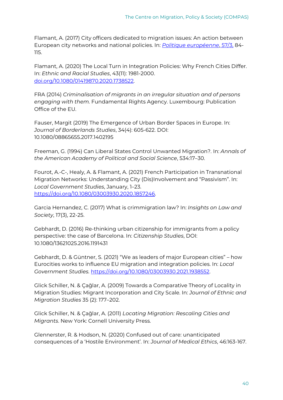Flamant, A. (2017) City officers dedicated to migration issues: An action between European city networks and national policies. In: *[Politique européenne](https://www.cairn-int.info/journal-politique-europeenne.htm)*, [57/3,](https://www.cairn-int.info/journal-politique-europeenne-2017-3.htm) 84- 115.

Flamant, A. (2020) The Local Turn in Integration Policies: Why French Cities Differ. In: *Ethnic and Racial Studies*, 43(11): 1981-2000[.](https://doi.org/10.1080/01419870.2020.1738522) [doi.org/10.1080/01419870.2020.1738522.](https://doi.org/10.1080/01419870.2020.1738522)

FRA (2014) *Criminalisation of migrants in an irregular situation and of persons engaging with them.* Fundamental Rights Agency. Luxembourg: Publication Office of the EU.

Fauser, Margit (2019) The Emergence of Urban Border Spaces in Europe. In: *Journal of Borderlands Studies*, 34(4): 605-622. DOI: 10.1080/08865655.2017.1402195

Freeman, G. (1994) Can Liberal States Control Unwanted Migration?. In: *Annals of the American Academy of Political and Social Science*, 534:17–30.

Fourot, A.-C-, Healy, A. & Flamant, A. (2021) French Participation in Transnational Migration Networks: Understanding City (Dis)Involvement and "Passivism". In: *Local Government Studies*, January, 1–23. [https://doi.org/10.1080/03003930.2020.1857246.](https://doi.org/10.1080/03003930.2020.1857246)

Garcia Hernandez, C. (2017) What is crimmigration law? In: *Insights on Law and Society*, 17(3), 22-25.

Gebhardt, D. (2016) Re-thinking urban citizenship for immigrants from a policy perspective: the case of Barcelona. In: *Citizenship Studies*, DOI: 10.1080/13621025.2016.1191431

Gebhardt, D. & Güntner, S. (2021) "We as leaders of major European cities" – how Eurocities works to influence EU migration and integration policies. In: *Local Government Studies.* [https://doi.org/10.1080/03003930.2021.1938552.](https://doi.org/10.1080/03003930.2021.1938552) 

Glick Schiller, N. & Çağlar, A. (2009) Towards a Comparative Theory of Locality in Migration Studies: Migrant Incorporation and City Scale. In: *Journal of Ethnic and Migration Studies* 35 (2): 177–202.

Glick Schiller, N. & Çağlar, A. (2011) *Locating Migration: Rescaling Cities and Migrants*. New York: Cornell University Press.

Glennerster, R. & Hodson, N. (2020) Confused out of care: unanticipated consequences of a 'Hostile Environment'. In: *Journal of Medical Ethics*, 46:163-167.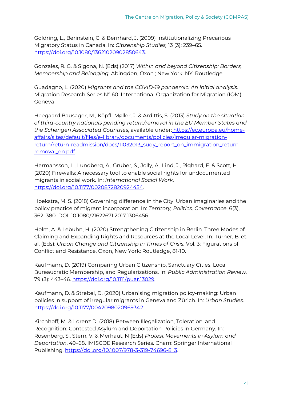Goldring, L., Berinstein, C. & Bernhard, J. (2009) Institutionalizing Precarious Migratory Status in Canada. In: *Citizenship Studies,* 13 (3): 239–65. [https://doi.org/10.1080/13621020902850643.](https://doi.org/10.1080/13621020902850643)

Gonzales, R. G. & Sigona, N. (Eds) (2017) *Within and beyond Citizenship: Borders, Membership and Belonging*. Abingdon, Oxon ; New York, NY: Routledge.

Guadagno, L. (2020) *Migrants and the COVID-19 pandemic: An initial analysis*. Migration Research Series N° 60. International Organization for Migration (IOM). Geneva

Heegaard Bausager, M., Köpfli Møller, J. & Ardittis, S. (2013) *Study on the situation of third-country nationals pending return/removal in the EU Member States and the Schengen Associated Countries*, available under: [https://ec.europa.eu/home](https://ec.europa.eu/home-affairs/sites/default/files/e-library/documents/policies/irregular-migration-return/return-readmission/docs/11032013_sudy_report_on_immigration_return-removal_en.pdf)[affairs/sites/default/files/e-library/documents/policies/irregular-migration](https://ec.europa.eu/home-affairs/sites/default/files/e-library/documents/policies/irregular-migration-return/return-readmission/docs/11032013_sudy_report_on_immigration_return-removal_en.pdf)[return/return-readmission/docs/11032013\\_sudy\\_report\\_on\\_immigration\\_return](https://ec.europa.eu/home-affairs/sites/default/files/e-library/documents/policies/irregular-migration-return/return-readmission/docs/11032013_sudy_report_on_immigration_return-removal_en.pdf)[removal\\_en.pdf.](https://ec.europa.eu/home-affairs/sites/default/files/e-library/documents/policies/irregular-migration-return/return-readmission/docs/11032013_sudy_report_on_immigration_return-removal_en.pdf) 

Hermansson, L., Lundberg, A., Gruber, S., Jolly, A., Lind, J., Righard, E. & Scott, H. (2020) Firewalls: A necessary tool to enable social rights for undocumented migrants in social work. In: *International Social Work*[.](https://doi.org/10.1177/0020872820924454) [https://doi.org/10.1177/0020872820924454.](https://doi.org/10.1177/0020872820924454)

Hoekstra, M. S. (2018) Governing difference in the City: Urban imaginaries and the policy practice of migrant incorporation. In: *Territory, Politics, Governance*, 6(3), 362–380. DOI: 10.1080/21622671.2017.1306456.

Holm, A. & Lebuhn, H. (2020) Strengthening Citizenship in Berlin. Three Modes of Claiming and Expanding Rights and Resources at the Local Level. In: Turner, B. et. al. (Eds): *Urban Change and Citizenship in Times of Crisis.* Vol. 3: Figurations of Conflict and Resistance. Oxon, New York: Routledge, 81-10.

Kaufmann, D. (2019) Comparing Urban Citizenship, Sanctuary Cities, Local Bureaucratic Membership, and Regularizations. In: *Public Administration Review,* 79 (3): 443–46. [https://doi.org/10.1111/puar.13029.](https://doi.org/10.1111/puar.13029)

Kaufmann, D. & Strebel, D. (2020) Urbanising migration policy-making: Urban policies in support of irregular migrants in Geneva and Zürich. In: *Urban Studies*. [https://doi.org/10.1177/0042098020969342.](https://doi.org/10.1177/0042098020969342)

Kirchhoff, M. & Lorenz D. (2018) Between Illegalization, Toleration, and Recognition: Contested Asylum and Deportation Policies in Germany. In: Rosenberg, S., Stern, V. & Merhaut, N (Eds) *Protest Movements in Asylum and Deportation*, 49–68. IMISCOE Research Series. Cham: Springer International Publishing. [https://doi.org/10.1007/978-3-319-74696-8\\_3.](https://doi.org/10.1007/978-3-319-74696-8_3)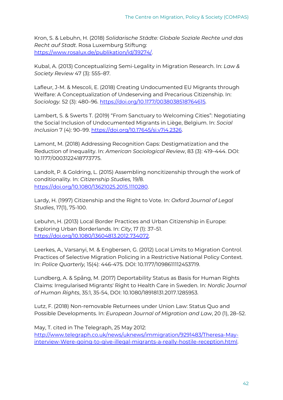Kron, S. & Lebuhn, H. (2018) *Solidarische Städte: Globale Soziale Rechte und das Recht auf Stadt*. Rosa Luxemburg Stiftun[g:](https://www.rosalux.de/publikation/id/39274/) [https://www.rosalux.de/publikation/id/39274/.](https://www.rosalux.de/publikation/id/39274/) 

Kubal, A. (2013) Conceptualizing Semi-Legality in Migration Research. In: *Law & Society Review* 47 (3): 555–87.

Lafleur, J-M. & Mescoli, E. (2018) Creating Undocumented EU Migrants through Welfare: A Conceptualization of Undeserving and Precarious Citizenship. In: *Sociology.* 52 (3): 480–96. [https://doi.org/10.1177/0038038518764615.](https://doi.org/10.1177/0038038518764615)

Lambert, S. & Swerts T. (2019) "From Sanctuary to Welcoming Cities": Negotiating the Social Inclusion of Undocumented Migrants in Liège, Belgium. In: *Social Inclusion* 7 (4): 90–99. [https://doi.org/10.17645/si.v7i4.2326.](https://doi.org/10.17645/si.v7i4.2326)

Lamont, M. (2018) Addressing Recognition Gaps: Destigmatization and the Reduction of Inequality. In: *American Sociological Review*, 83 (3): 419–444. DOI: 10.1177/0003122418773775.

Landolt, P. & Goldring, L. (2015) Assembling noncitizenship through the work of conditionality. In: *Citizenship Studies,* 19/8[.](https://doi.org/10.1080/13621025.2015.1110280) [https://doi.org/10.1080/13621025.2015.1110280.](https://doi.org/10.1080/13621025.2015.1110280)

Lardy, H. (1997) Citizenship and the Right to Vote. In: *Oxford Journal of Legal Studies*, 17(1), 75-100.

Lebuhn, H. (2013) Local Border Practices and Urban Citizenship in Europe: Exploring Urban Borderlands. In: *City*, 17 (1): 37–51[.](https://doi.org/10.1080/13604813.2012.734072) [https://doi.org/10.1080/13604813.2012.734072.](https://doi.org/10.1080/13604813.2012.734072)

Leerkes, A., Varsanyi, M. & Engbersen, G. (2012) Local Limits to Migration Control. Practices of Selective Migration Policing in a Restrictive National Policy Context. In: *Police Quarterly,* 15(4): 446-475. DOI: 10.1177/1098611112453719.

Lundberg, A. & Spång, M. (2017) Deportability Status as Basis for Human Rights Claims: Irregularised Migrants' Right to Health Care in Sweden. In: *Nordic Journal of Human Rights*, 35:1, 35-54, DOI: 10.1080/18918131.2017.1285953.

Lutz, F. (2018) Non-removable Returnees under Union Law: Status Quo and Possible Developments. In: *European Journal of Migration and Law*, 20 (1), 28–52.

May, T. cited in The Telegraph, 25 May 201[2:](http://www.telegraph.co.uk/news/uknews/immigration/9291483/Theresa-May-interview-Were-going-to-give-illegal-migrants-a-really-hostile-reception.html) [http://www.telegraph.co.uk/news/uknews/immigration/9291483/Theresa-May](http://www.telegraph.co.uk/news/uknews/immigration/9291483/Theresa-May-interview-Were-going-to-give-illegal-migrants-a-really-hostile-reception.html)[interview-Were-going-to-give-illegal-migrants-a-really-hostile-reception.html.](http://www.telegraph.co.uk/news/uknews/immigration/9291483/Theresa-May-interview-Were-going-to-give-illegal-migrants-a-really-hostile-reception.html)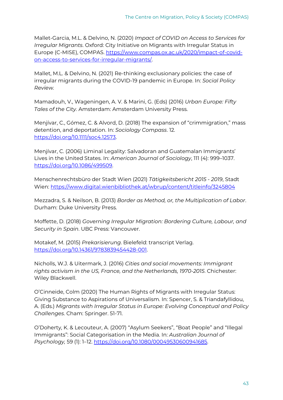Mallet-Garcia, M.L. & Delvino, N. (2020) *Impact of COVID on Access to Services for Irregular Migrants*. Oxford: City Initiative on Migrants with Irregular Status in Europe (C-MISE), COMPAS. [https://www.compas.ox.ac.uk/2020/impact-of-covid](https://www.compas.ox.ac.uk/2020/impact-of-covid-on-access-to-services-for-irregular-migrants/)[on-access-to-services-for-irregular-migrants/.](https://www.compas.ox.ac.uk/2020/impact-of-covid-on-access-to-services-for-irregular-migrants/)

Mallet, M.L. & Delvino, N. (2021) Re-thinking exclusionary policies: the case of irregular migrants during the COVID-19 pandemic in Europe. In: *Social Policy Review.*

Mamadouh, V., Wageningen, A. V. & Marini, G. (Eds) (2016) *Urban Europe: Fifty Tales of the City.* Amsterdam: Amsterdam University Press.

Menjívar, C., Gómez, C. & Alvord, D. (2018) The expansion of "crimmigration," mass detention, and deportation. In: *Sociology Compass*. 1[2.](https://doi.org/10.1111/soc4.12573) https://doi.org/10.1111/soc4.12573.

Menjívar, C. (2006) Liminal Legality: Salvadoran and Guatemalan Immigrants' Lives in the United States. In: *American Journal of Sociology*, 111 (4): 999–1037. [https://doi.org/10.1086/499509.](https://doi.org/10.1086/499509)

Menschenrechtsbüro der Stadt Wien (2021) *Tätigkeitsbericht 2015 - 2019*, Stadt Wien:<https://www.digital.wienbibliothek.at/wbrup/content/titleinfo/3245804>

Mezzadra, S. & Neilson, B. (2013) *Border as Method, or, the Multiplication of Labor*. Durham: Duke University Press.

Moffette, D. (2018) *Governing Irregular Migration: Bordering Culture, Labour, and Security in Spain*. UBC Press: Vancouver.

Motakef, M. (2015) *Prekarisierung*. Bielefeld: transcript Verla[g.](https://doi.org/10.14361/9783839454428-001) [https://doi.org/10.14361/9783839454428-001.](https://doi.org/10.14361/9783839454428-001)

Nicholls, W.J. & Uitermark, J. (2016) *Cities and social movements: Immigrant rights activism in the US, France, and the Netherlands, 1970-2015*. Chichester: Wiley Blackwell.

O'Cinneide, Colm (2020) The Human Rights of Migrants with Irregular Status: Giving Substance to Aspirations of Universalism. In: Spencer, S. & Triandafyllidou, A. (Eds.) *Migrants with Irregular Status in Europe: Evolving Conceptual and Policy Challenges*. Cham: Springer. 51-71.

O'Doherty, K. & Lecouteur, A. (2007) "Asylum Seekers", "Boat People" and "Illegal Immigrants": Social Categorisation in the Media. In: *Australian Journal of Psychology,* 59 (1): 1–12. [https://doi.org/10.1080/00049530600941685.](https://doi.org/10.1080/00049530600941685)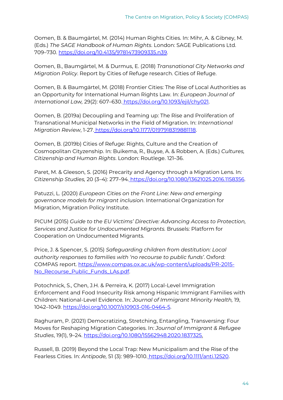Oomen, B. & Baumgärtel, M. (2014) Human Rights Cities. In: Mihr, A. & Gibney, M. (Eds.) *The SAGE Handbook of Human Rights*. London: SAGE Publications Ltd. 709–730. [https://doi.org/10.4135/9781473909335.n39.](https://doi.org/10.4135/9781473909335.n39) 

Oomen, B., Baumgärtel, M. & Durmus, E. (2018) *Transnational City Networks and Migration Policy*. Report by Cities of Refuge research. Cities of Refuge.

Oomen, B. & Baumgärtel, M. (2018) Frontier Cities: The Rise of Local Authorities as an Opportunity for International Human Rights Law. In: *European Journal of International Law,* 29(2): 607–630[.](https://doi.org/10.1093/ejil/chy021) [https://doi.org/10.1093/ejil/chy021.](https://doi.org/10.1093/ejil/chy021)

Oomen, B. (2019a) Decoupling and Teaming up: The Rise and Proliferation of Transnational Municipal Networks in the Field of Migration. In: *International Migration Review*, 1-27. [https://doi.org/10.1177/0197918319881118.](https://doi.org/10.1177/0197918319881118)

Oomen, B. (2019b) Cities of Refuge: Rights, Culture and the Creation of Cosmopolitan Cityzenship. In: Buikema, R., Buyse, A. & Robben, A. (Eds.) *Cultures, Citizenship and Human Rights*. London: Routlege. 121–36.

Paret, M. & Gleeson, S. (2016) Precarity and Agency through a Migration Lens. In: *Citizenship Studies,* 20 (3–4): 277–9[4.](https://doi.org/10.1080/13621025.2016.1158356) [https://doi.org/10.1080/13621025.2016.1158356.](https://doi.org/10.1080/13621025.2016.1158356)

Patuzzi, L. (2020) *European Cities on the Front Line: New and emerging governance models for migrant inclusion*. International Organization for Migration, Migration Policy Institute.

PICUM (2015) *Guide to the EU Victims' Directive: Advancing Access to Protection, Services and Justice for Undocumented Migrants.* Brussels: Platform for Cooperation on Undocumented Migrants.

Price, J. & Spencer, S. (2015) *Safeguarding children from destitution: Local authority responses to families with 'no recourse to public funds'*. Oxford: COMPAS report. [https://www.compas.ox.ac.uk/wp-content/uploads/PR-2015-](https://www.compas.ox.ac.uk/wp-content/uploads/PR-2015-No_Recourse_Public_Funds_LAs.pdf) [No\\_Recourse\\_Public\\_Funds\\_LAs.pdf.](https://www.compas.ox.ac.uk/wp-content/uploads/PR-2015-No_Recourse_Public_Funds_LAs.pdf) 

Potochnick, S., Chen, J.H. & Perreira, K. (2017) Local-Level Immigration Enforcement and Food Insecurity Risk among Hispanic Immigrant Families with Children: National-Level Evidence*.* In: *Journal of Immigrant Minority Health,* 19, 1042–1049. [https://doi.org/10.1007/s10903-016-0464-5.](https://doi.org/10.1007/s10903-016-0464-5)

Raghuram, P. (2021) Democratizing, Stretching, Entangling, Transversing: Four Moves for Reshaping Migration Categories. In: *Journal of Immigrant & Refugee Studies*, 19(1), 9–24. [https://doi.org/10.1080/15562948.2020.1837325.](https://doi.org/10.1080/15562948.2020.1837325) 

Russell, B. (2019) Beyond the Local Trap: New Municipalism and the Rise of the Fearless Cities. In: *Antipode,* 51 (3): 989–101[0.](https://doi.org/10.1111/anti.12520) [https://doi.org/10.1111/anti.12520.](https://doi.org/10.1111/anti.12520)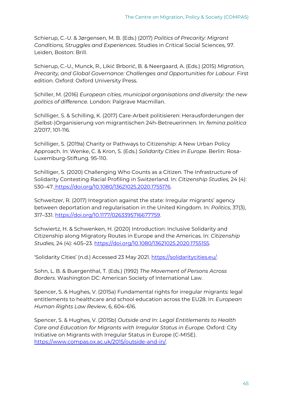Schierup, C.-U. & Jørgensen, M. B. (Eds.) (2017) *Politics of Precarity: Migrant Conditions, Struggles and Experiences*. Studies in Critical Social Sciences, 97. Leiden, Boston: Brill.

Schierup, C.-U., Munck, R., Likić Brborić, B. & Neergaard, A. (Eds.) (2015) *Migration, Precarity, and Global Governance: Challenges and Opportunities for Labour*. First edition. Oxford: Oxford University Press.

Schiller, M. (2016) *European cities, municipal organisations and diversity: the new politics of difference.* London: Palgrave Macmillan.

Schilliger, S. & Schilling, K. (2017) Care-Arbeit politisieren: Herausforderungen der (Selbst-)Organisierung von migrantischen 24h-Betreuerinnen. In: *femina politica* 2/2017, 101-116.

Schilliger, S. (2019a) Charity or Pathways to Citizenship: A New Urban Policy Approach. In: Wenke, C. & Kron, S. (Eds.) *Solidarity Cities in Europe*. Berlin: Rosa-Luxemburg-Stiftung. 95-110.

Schilliger, S. (2020) Challenging Who Counts as a Citizen. The Infrastructure of Solidarity Contesting Racial Profiling in Switzerland. In: *Citizenship Studies,* 24 (4): 530–4[7.](https://doi.org/10.1080/13621025.2020.1755176) [https://doi.org/10.1080/13621025.2020.1755176.](https://doi.org/10.1080/13621025.2020.1755176)

Schweitzer, R. (2017) Integration against the state: Irregular migrants' agency between deportation and regularisation in the United Kingdom. In: *Politics*, 37(3), 317–331. [https://doi.org/10.1177/0263395716677759.](https://doi.org/10.1177/0263395716677759)

Schwiertz, H. & Schwenken, H. (2020) Introduction: Inclusive Solidarity and Citizenship along Migratory Routes in Europe and the Americas. In: *Citizenship Studies,* 24 (4): 405–23. [https://doi.org/10.1080/13621025.2020.1755155.](https://doi.org/10.1080/13621025.2020.1755155)

'Solidarity Cities' (n.d.) Accessed 23 May 2021. [https://solidaritycities.eu/.](https://solidaritycities.eu/)

Sohn, L. B. & Buergenthal, T. (Eds.) (1992) *The Movement of Persons Across Borders*. Washington DC: American Society of International Law.

Spencer, S. & Hughes, V. (2015a) Fundamental rights for irregular migrants: legal entitlements to healthcare and school education across the EU28. In: *European Human Rights Law Review*, 6, 604–616.

Spencer, S. & Hughes, V. (2015b) *Outside and In: Legal Entitlements to Health Care and Education for Migrants with Irregular Status in Europe.* Oxford: City Initiative on Migrants with Irregular Status in Europe (C-MISE). [https://www.compas.ox.ac.uk/2015/outside-and-in/.](https://www.compas.ox.ac.uk/2015/outside-and-in/)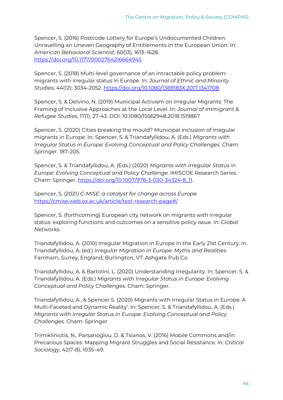Spencer, S. (2016) Postcode Lottery for Europe's Undocumented Children: Unravelling an Uneven Geography of Entitlements in the European Union. In: *American Behavioral Scientist*, 60(13), 1613–1628. [https://doi.org/10.1177/0002764216664945.](https://doi.org/10.1177/0002764216664945)

Spencer, S. (2018) Multi-level governance of an intractable policy problem: migrants with irregular status in Europe. In: *Journal of Ethnic and Minority Studies,* 44(12): 3034-2052. [https://doi.org/10.1080/1369183X.2017.1341708.](https://doi.org/10.1080/1369183X.2017.1341708) 

Spencer, S. & Delvino, N. (2019) Municipal Activism on Irregular Migrants: The Framing of Inclusive Approaches at the Local Level. In: *Journal of Immigrant & Refugee Studies*, 17(1), 27-43. DOI: 10.1080/15562948.2018.1519867

Spencer, S. (2020) Cities breaking the mould? Municipal inclusion of irregular migrants in Europe. In: Spencer, S. & Triandafyllidou, A. (Eds.) *Migrants with Irregular Status in Europe: Evolving Conceptual and Policy Challenges*. Cham: Springer. 187-205.

Spencer, S. & Triandafyllidou, A. (Eds.) (2020) *Migrants with Irregular Status in Europe*: *Evolving Conceptual and Policy Challenge.* IMISCOE Research Series. Cham: Springer. [https://doi.org/10.1007/978-3-030-34324-8\\_11.](https://doi.org/10.1007/978-3-030-34324-8_11) 

Spencer, S. (2021*) C-MISE: a catalyst for change across Europe*[.](https://cmise.web.ox.ac.uk/article/test-research-page#/) <https://cmise.web.ox.ac.uk/article/test-research-page#/>

Spencer, S. (forthcoming) European city network on migrants with irregular status: exploring functions and outcomes on a sensitive policy issue. In: *Global Networks.*

Triandafyllidou, A. (2010) Irregular Migration in Europe in the Early 21st Century. In. Triandafyllidou, A. (ed.) *Irregular Migration in Europe: Myths and Realities*. Farnham, Surrey, England; Burlington, VT: Ashgate Pub Co.

Triandafyllidou, A. & Bartolini, L. (2020) Understanding Irregularity. In: Spencer, S. & Triandafyllidou, A. (Eds.) *Migrants with Irregular Status in Europe: Evolving Conceptual and Policy Challenges*. Cham: Springer.

Triandafyllidou, A., & Spencer S. (2020) Migrants with Irregular Status in Europe: A Multi-Faceted and Dynamic Reality'. In: Spencer, S. & Triandafyllidou, A. (Eds.) *Migrants with Irregular Status in Europe: Evolving Conceptual and Policy Challenges*. Cham: Springer.

Trimikliniotis, N., Parsanoglou, D. & Tsianos, V. (2016) Mobile Commons and/in Precarious Spaces: Mapping Migrant Struggles and Social Resistance. In: *Critical Sociology*, 42(7-8), 1035–49.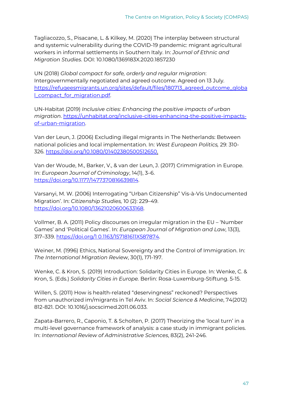Tagliacozzo, S., Pisacane, L. & Kilkey, M. (2020) The interplay between structural and systemic vulnerability during the COVID-19 pandemic: migrant agricultural workers in informal settlements in Southern Italy. In: *Journal of Ethnic and Migration Studies*. DOI: 10.1080/1369183X.2020.1857230

UN (2018) *Global compact for safe, orderly and regular migration*: Intergovernmentally negotiated and agreed outcome. Agreed on 13 Jul[y.](https://refugeesmigrants.un.org/sites/default/files/180713_agreed_outcome_global_compact_for_migration.pdf) [https://refugeesmigrants.un.org/sites/default/files/180713\\_agreed\\_outcome\\_globa](https://refugeesmigrants.un.org/sites/default/files/180713_agreed_outcome_global_compact_for_migration.pdf) [l\\_compact\\_for\\_migration.pdf.](https://refugeesmigrants.un.org/sites/default/files/180713_agreed_outcome_global_compact_for_migration.pdf)

UN-Habitat (2019) *Inclusive cities: Enhancing the positive impacts of urban migration*. [https://unhabitat.org/inclusive-cities-enhancing-the-positive-impacts](https://unhabitat.org/inclusive-cities-enhancing-the-positive-impacts-of-urban-migration)[of-urban-migration.](https://unhabitat.org/inclusive-cities-enhancing-the-positive-impacts-of-urban-migration)

Van der Leun, J. (2006) Excluding illegal migrants in The Netherlands: Between national policies and local implementation. In: *West European Politics,* 29: 310- 326. [https://doi.org/10.1080/01402380500512650.](https://doi.org/10.1080/01402380500512650) 

Van der Woude, M., Barker, V., & van der Leun, J. (2017) Crimmigration in Europe. In: *European Journal of Criminology*, 14(1), 3–[6.](https://doi.org/10.1177/1477370816639814) [https://doi.org/10.1177/1477370816639814.](https://doi.org/10.1177/1477370816639814)

Varsanyi, M. W. (2006) Interrogating "Urban Citizenship" Vis-à-Vis Undocumented Migration'. In: *Citizenship Studies,* 10 (2): 229–49. [https://doi.org/10.1080/13621020600633168.](https://doi.org/10.1080/13621020600633168)

Vollmer, B. A. (2011) Policy discourses on irregular migration in the EU – 'Number Games' and 'Political Games'. In: *European Journal of Migration and Law*, 13(3), 317–339. [https://doi.org/1 0.1163/157181611X587874.](https://doi.org/1%200.1163/157181611X587874)

Weiner, M. (1996) Ethics, National Sovereignty and the Control of Immigration. In: *The International Migration Review*, 30(1), 171-197.

Wenke, C. & Kron, S. (2019) Introduction: Solidarity Cities in Europe. In: Wenke, C. & Kron, S. (Eds.) *Solidarity Cities in Europe.* Berlin: Rosa-Luxemburg-Stiftung. 5-15.

Willen, S. (2011) How is health-related "deservingness" reckoned? Perspectives from unauthorized im/migrants in Tel Aviv. In: *Social Science & Medicine*, 74(2012) 812-821. DOI: 10.1016/j.socscimed.2011.06.033.

Zapata-Barrero, R., Caponio, T. & Scholten, P. (2017) Theorizing the 'local turn' in a multi-level governance framework of analysis: a case study in immigrant policies. In: *International Review of Administrative Sciences*, 83(2), 241-246.